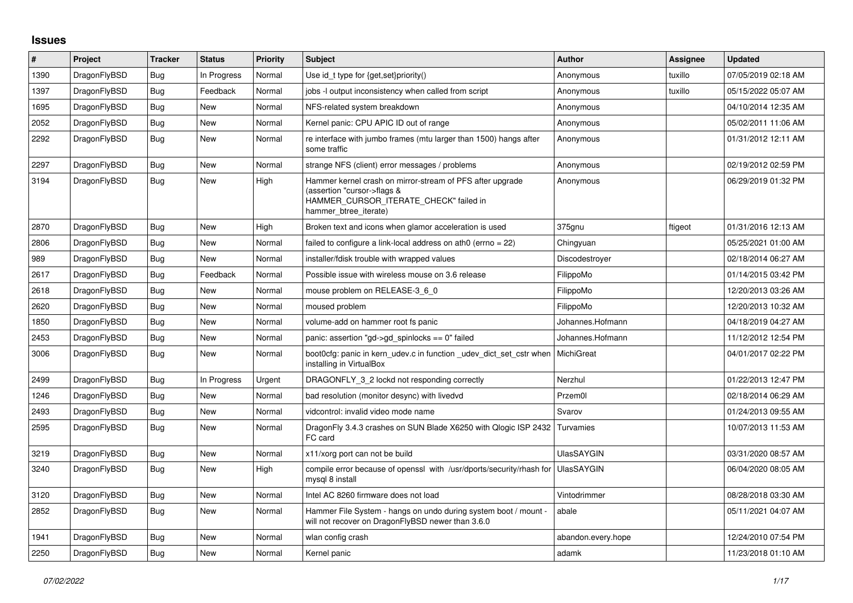## **Issues**

| $\vert$ # | Project      | <b>Tracker</b> | <b>Status</b> | <b>Priority</b> | <b>Subject</b>                                                                                                                                              | <b>Author</b>      | Assignee | <b>Updated</b>      |
|-----------|--------------|----------------|---------------|-----------------|-------------------------------------------------------------------------------------------------------------------------------------------------------------|--------------------|----------|---------------------|
| 1390      | DragonFlyBSD | <b>Bug</b>     | In Progress   | Normal          | Use id_t type for {get, set}priority()                                                                                                                      | Anonymous          | tuxillo  | 07/05/2019 02:18 AM |
| 1397      | DragonFlyBSD | Bug            | Feedback      | Normal          | jobs -I output inconsistency when called from script                                                                                                        | Anonymous          | tuxillo  | 05/15/2022 05:07 AM |
| 1695      | DragonFlyBSD | Bug            | New           | Normal          | NFS-related system breakdown                                                                                                                                | Anonymous          |          | 04/10/2014 12:35 AM |
| 2052      | DragonFlyBSD | Bug            | New           | Normal          | Kernel panic: CPU APIC ID out of range                                                                                                                      | Anonymous          |          | 05/02/2011 11:06 AM |
| 2292      | DragonFlyBSD | Bug            | New           | Normal          | re interface with jumbo frames (mtu larger than 1500) hangs after<br>some traffic                                                                           | Anonymous          |          | 01/31/2012 12:11 AM |
| 2297      | DragonFlyBSD | Bug            | New           | Normal          | strange NFS (client) error messages / problems                                                                                                              | Anonymous          |          | 02/19/2012 02:59 PM |
| 3194      | DragonFlyBSD | Bug            | <b>New</b>    | High            | Hammer kernel crash on mirror-stream of PFS after upgrade<br>(assertion "cursor->flags &<br>HAMMER_CURSOR_ITERATE_CHECK" failed in<br>hammer btree iterate) | Anonymous          |          | 06/29/2019 01:32 PM |
| 2870      | DragonFlyBSD | Bug            | New           | High            | Broken text and icons when glamor acceleration is used                                                                                                      | 375gnu             | ftigeot  | 01/31/2016 12:13 AM |
| 2806      | DragonFlyBSD | <b>Bug</b>     | New           | Normal          | failed to configure a link-local address on ath0 (errno = 22)                                                                                               | Chingyuan          |          | 05/25/2021 01:00 AM |
| 989       | DragonFlyBSD | Bug            | <b>New</b>    | Normal          | installer/fdisk trouble with wrapped values                                                                                                                 | Discodestroyer     |          | 02/18/2014 06:27 AM |
| 2617      | DragonFlyBSD | Bug            | Feedback      | Normal          | Possible issue with wireless mouse on 3.6 release                                                                                                           | FilippoMo          |          | 01/14/2015 03:42 PM |
| 2618      | DragonFlyBSD | Bug            | New           | Normal          | mouse problem on RELEASE-3 6 0                                                                                                                              | FilippoMo          |          | 12/20/2013 03:26 AM |
| 2620      | DragonFlyBSD | <b>Bug</b>     | <b>New</b>    | Normal          | moused problem                                                                                                                                              | FilippoMo          |          | 12/20/2013 10:32 AM |
| 1850      | DragonFlyBSD | Bug            | New           | Normal          | volume-add on hammer root fs panic                                                                                                                          | Johannes.Hofmann   |          | 04/18/2019 04:27 AM |
| 2453      | DragonFlyBSD | Bug            | New           | Normal          | panic: assertion "gd->gd spinlocks == $0$ " failed                                                                                                          | Johannes.Hofmann   |          | 11/12/2012 12:54 PM |
| 3006      | DragonFlyBSD | <b>Bug</b>     | New           | Normal          | boot0cfg: panic in kern_udev.c in function _udev_dict_set_cstr when<br>installing in VirtualBox                                                             | MichiGreat         |          | 04/01/2017 02:22 PM |
| 2499      | DragonFlyBSD | Bug            | In Progress   | Urgent          | DRAGONFLY 3 2 lockd not responding correctly                                                                                                                | Nerzhul            |          | 01/22/2013 12:47 PM |
| 1246      | DragonFlyBSD | Bug            | New           | Normal          | bad resolution (monitor desync) with livedvd                                                                                                                | Przem0l            |          | 02/18/2014 06:29 AM |
| 2493      | DragonFlyBSD | Bug            | New           | Normal          | vidcontrol: invalid video mode name                                                                                                                         | Svarov             |          | 01/24/2013 09:55 AM |
| 2595      | DragonFlyBSD | <b>Bug</b>     | New           | Normal          | DragonFly 3.4.3 crashes on SUN Blade X6250 with Qlogic ISP 2432<br>FC card                                                                                  | Turvamies          |          | 10/07/2013 11:53 AM |
| 3219      | DragonFlyBSD | Bug            | New           | Normal          | x11/xorg port can not be build                                                                                                                              | <b>UlasSAYGIN</b>  |          | 03/31/2020 08:57 AM |
| 3240      | DragonFlyBSD | <b>Bug</b>     | <b>New</b>    | High            | compile error because of openssl with /usr/dports/security/rhash for<br>mysql 8 install                                                                     | <b>UlasSAYGIN</b>  |          | 06/04/2020 08:05 AM |
| 3120      | DragonFlyBSD | Bug            | New           | Normal          | Intel AC 8260 firmware does not load                                                                                                                        | Vintodrimmer       |          | 08/28/2018 03:30 AM |
| 2852      | DragonFlyBSD | Bug            | New           | Normal          | Hammer File System - hangs on undo during system boot / mount -<br>will not recover on DragonFlyBSD newer than 3.6.0                                        | abale              |          | 05/11/2021 04:07 AM |
| 1941      | DragonFlyBSD | <b>Bug</b>     | <b>New</b>    | Normal          | wlan config crash                                                                                                                                           | abandon.every.hope |          | 12/24/2010 07:54 PM |
| 2250      | DragonFlyBSD | <b>Bug</b>     | New           | Normal          | Kernel panic                                                                                                                                                | adamk              |          | 11/23/2018 01:10 AM |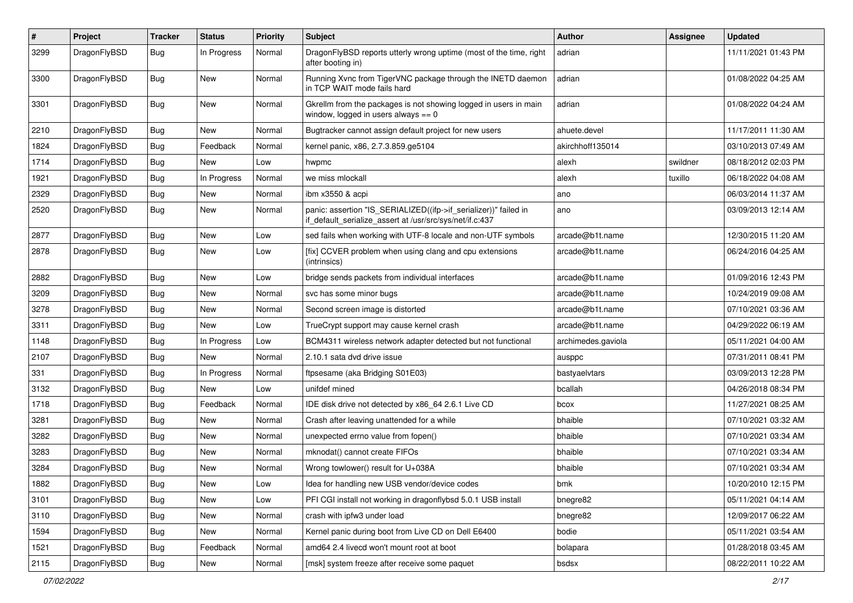| $\sharp$ | Project      | <b>Tracker</b> | <b>Status</b> | <b>Priority</b> | Subject                                                                                                                      | Author             | Assignee | <b>Updated</b>      |
|----------|--------------|----------------|---------------|-----------------|------------------------------------------------------------------------------------------------------------------------------|--------------------|----------|---------------------|
| 3299     | DragonFlyBSD | Bug            | In Progress   | Normal          | DragonFlyBSD reports utterly wrong uptime (most of the time, right<br>after booting in)                                      | adrian             |          | 11/11/2021 01:43 PM |
| 3300     | DragonFlyBSD | Bug            | <b>New</b>    | Normal          | Running Xvnc from TigerVNC package through the INETD daemon<br>in TCP WAIT mode fails hard                                   | adrian             |          | 01/08/2022 04:25 AM |
| 3301     | DragonFlyBSD | <b>Bug</b>     | New           | Normal          | Gkrellm from the packages is not showing logged in users in main<br>window, logged in users always $== 0$                    | adrian             |          | 01/08/2022 04:24 AM |
| 2210     | DragonFlyBSD | Bug            | <b>New</b>    | Normal          | Bugtracker cannot assign default project for new users                                                                       | ahuete.devel       |          | 11/17/2011 11:30 AM |
| 1824     | DragonFlyBSD | Bug            | Feedback      | Normal          | kernel panic, x86, 2.7.3.859.ge5104                                                                                          | akirchhoff135014   |          | 03/10/2013 07:49 AM |
| 1714     | DragonFlyBSD | <b>Bug</b>     | <b>New</b>    | Low             | hwpmc                                                                                                                        | alexh              | swildner | 08/18/2012 02:03 PM |
| 1921     | DragonFlyBSD | <b>Bug</b>     | In Progress   | Normal          | we miss mlockall                                                                                                             | alexh              | tuxillo  | 06/18/2022 04:08 AM |
| 2329     | DragonFlyBSD | <b>Bug</b>     | <b>New</b>    | Normal          | ibm x3550 & acpi                                                                                                             | ano                |          | 06/03/2014 11:37 AM |
| 2520     | DragonFlyBSD | Bug            | <b>New</b>    | Normal          | panic: assertion "IS_SERIALIZED((ifp->if_serializer))" failed in<br>if_default_serialize_assert at /usr/src/sys/net/if.c:437 | ano                |          | 03/09/2013 12:14 AM |
| 2877     | DragonFlyBSD | Bug            | <b>New</b>    | Low             | sed fails when working with UTF-8 locale and non-UTF symbols                                                                 | arcade@b1t.name    |          | 12/30/2015 11:20 AM |
| 2878     | DragonFlyBSD | Bug            | <b>New</b>    | Low             | [fix] CCVER problem when using clang and cpu extensions<br>(intrinsics)                                                      | arcade@b1t.name    |          | 06/24/2016 04:25 AM |
| 2882     | DragonFlyBSD | <b>Bug</b>     | <b>New</b>    | Low             | bridge sends packets from individual interfaces                                                                              | arcade@b1t.name    |          | 01/09/2016 12:43 PM |
| 3209     | DragonFlyBSD | <b>Bug</b>     | <b>New</b>    | Normal          | svc has some minor bugs                                                                                                      | arcade@b1t.name    |          | 10/24/2019 09:08 AM |
| 3278     | DragonFlyBSD | <b>Bug</b>     | New           | Normal          | Second screen image is distorted                                                                                             | arcade@b1t.name    |          | 07/10/2021 03:36 AM |
| 3311     | DragonFlyBSD | <b>Bug</b>     | New           | Low             | TrueCrypt support may cause kernel crash                                                                                     | arcade@b1t.name    |          | 04/29/2022 06:19 AM |
| 1148     | DragonFlyBSD | <b>Bug</b>     | In Progress   | Low             | BCM4311 wireless network adapter detected but not functional                                                                 | archimedes.gaviola |          | 05/11/2021 04:00 AM |
| 2107     | DragonFlyBSD | <b>Bug</b>     | New           | Normal          | 2.10.1 sata dvd drive issue                                                                                                  | ausppc             |          | 07/31/2011 08:41 PM |
| 331      | DragonFlyBSD | <b>Bug</b>     | In Progress   | Normal          | ftpsesame (aka Bridging S01E03)                                                                                              | bastyaelvtars      |          | 03/09/2013 12:28 PM |
| 3132     | DragonFlyBSD | <b>Bug</b>     | New           | Low             | unifdef mined                                                                                                                | bcallah            |          | 04/26/2018 08:34 PM |
| 1718     | DragonFlyBSD | <b>Bug</b>     | Feedback      | Normal          | IDE disk drive not detected by x86_64 2.6.1 Live CD                                                                          | bcox               |          | 11/27/2021 08:25 AM |
| 3281     | DragonFlyBSD | <b>Bug</b>     | <b>New</b>    | Normal          | Crash after leaving unattended for a while                                                                                   | bhaible            |          | 07/10/2021 03:32 AM |
| 3282     | DragonFlyBSD | <b>Bug</b>     | New           | Normal          | unexpected errno value from fopen()                                                                                          | bhaible            |          | 07/10/2021 03:34 AM |
| 3283     | DragonFlyBSD | <b>Bug</b>     | <b>New</b>    | Normal          | mknodat() cannot create FIFOs                                                                                                | bhaible            |          | 07/10/2021 03:34 AM |
| 3284     | DragonFlyBSD | <b>Bug</b>     | <b>New</b>    | Normal          | Wrong towlower() result for U+038A                                                                                           | bhaible            |          | 07/10/2021 03:34 AM |
| 1882     | DragonFlyBSD | <b>Bug</b>     | New           | LOW             | Idea for handling new USB vendor/device codes                                                                                | bmk                |          | 10/20/2010 12:15 PM |
| 3101     | DragonFlyBSD | <b>Bug</b>     | New           | Low             | PFI CGI install not working in dragonflybsd 5.0.1 USB install                                                                | bnegre82           |          | 05/11/2021 04:14 AM |
| 3110     | DragonFlyBSD | <b>Bug</b>     | New           | Normal          | crash with ipfw3 under load                                                                                                  | bnegre82           |          | 12/09/2017 06:22 AM |
| 1594     | DragonFlyBSD | <b>Bug</b>     | New           | Normal          | Kernel panic during boot from Live CD on Dell E6400                                                                          | bodie              |          | 05/11/2021 03:54 AM |
| 1521     | DragonFlyBSD | <b>Bug</b>     | Feedback      | Normal          | amd64 2.4 livecd won't mount root at boot                                                                                    | bolapara           |          | 01/28/2018 03:45 AM |
| 2115     | DragonFlyBSD | <b>Bug</b>     | New           | Normal          | [msk] system freeze after receive some paquet                                                                                | bsdsx              |          | 08/22/2011 10:22 AM |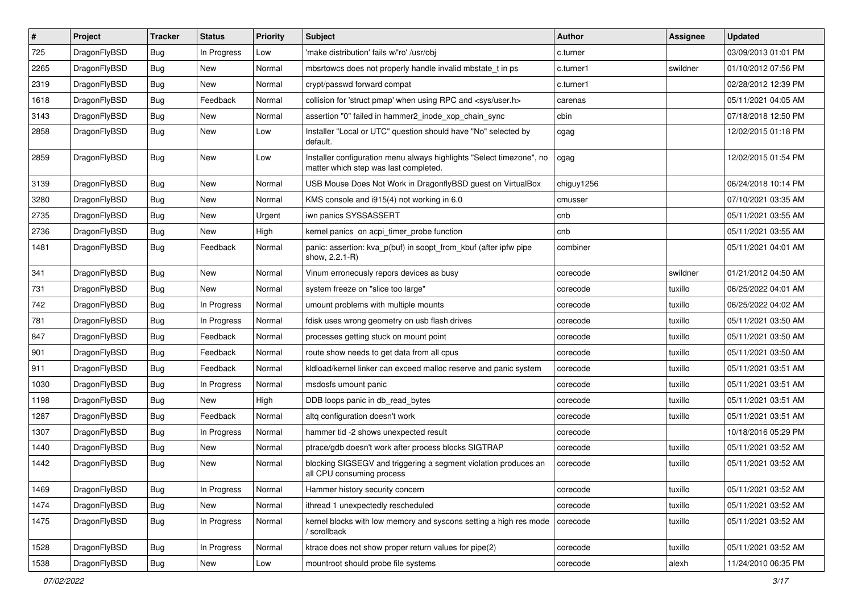| #    | Project      | <b>Tracker</b> | <b>Status</b> | <b>Priority</b> | Subject                                                                                                       | <b>Author</b> | Assignee | <b>Updated</b>      |
|------|--------------|----------------|---------------|-----------------|---------------------------------------------------------------------------------------------------------------|---------------|----------|---------------------|
| 725  | DragonFlyBSD | Bug            | In Progress   | Low             | 'make distribution' fails w/'ro' /usr/obj                                                                     | c.turner      |          | 03/09/2013 01:01 PM |
| 2265 | DragonFlyBSD | Bug            | <b>New</b>    | Normal          | mbsrtowcs does not properly handle invalid mbstate t in ps                                                    | c.turner1     | swildner | 01/10/2012 07:56 PM |
| 2319 | DragonFlyBSD | Bug            | New           | Normal          | crypt/passwd forward compat                                                                                   | c.turner1     |          | 02/28/2012 12:39 PM |
| 1618 | DragonFlyBSD | Bug            | Feedback      | Normal          | collision for 'struct pmap' when using RPC and <sys user.h=""></sys>                                          | carenas       |          | 05/11/2021 04:05 AM |
| 3143 | DragonFlyBSD | Bug            | <b>New</b>    | Normal          | assertion "0" failed in hammer2_inode_xop_chain_sync                                                          | cbin          |          | 07/18/2018 12:50 PM |
| 2858 | DragonFlyBSD | Bug            | New           | Low             | Installer "Local or UTC" question should have "No" selected by<br>default.                                    | cgag          |          | 12/02/2015 01:18 PM |
| 2859 | DragonFlyBSD | Bug            | <b>New</b>    | Low             | Installer configuration menu always highlights "Select timezone", no<br>matter which step was last completed. | cgag          |          | 12/02/2015 01:54 PM |
| 3139 | DragonFlyBSD | Bug            | <b>New</b>    | Normal          | USB Mouse Does Not Work in DragonflyBSD guest on VirtualBox                                                   | chiguy1256    |          | 06/24/2018 10:14 PM |
| 3280 | DragonFlyBSD | Bug            | <b>New</b>    | Normal          | KMS console and i915(4) not working in 6.0                                                                    | cmusser       |          | 07/10/2021 03:35 AM |
| 2735 | DragonFlyBSD | Bug            | New           | Urgent          | iwn panics SYSSASSERT                                                                                         | cnb           |          | 05/11/2021 03:55 AM |
| 2736 | DragonFlyBSD | Bug            | <b>New</b>    | High            | kernel panics on acpi_timer_probe function                                                                    | cnb           |          | 05/11/2021 03:55 AM |
| 1481 | DragonFlyBSD | Bug            | Feedback      | Normal          | panic: assertion: kva p(buf) in soopt from kbuf (after ipfw pipe<br>show, 2.2.1-R)                            | combiner      |          | 05/11/2021 04:01 AM |
| 341  | DragonFlyBSD | <b>Bug</b>     | New           | Normal          | Vinum erroneously repors devices as busy                                                                      | corecode      | swildner | 01/21/2012 04:50 AM |
| 731  | DragonFlyBSD | <b>Bug</b>     | New           | Normal          | system freeze on "slice too large"                                                                            | corecode      | tuxillo  | 06/25/2022 04:01 AM |
| 742  | DragonFlyBSD | Bug            | In Progress   | Normal          | umount problems with multiple mounts                                                                          | corecode      | tuxillo  | 06/25/2022 04:02 AM |
| 781  | DragonFlyBSD | <b>Bug</b>     | In Progress   | Normal          | fdisk uses wrong geometry on usb flash drives                                                                 | corecode      | tuxillo  | 05/11/2021 03:50 AM |
| 847  | DragonFlyBSD | Bug            | Feedback      | Normal          | processes getting stuck on mount point                                                                        | corecode      | tuxillo  | 05/11/2021 03:50 AM |
| 901  | DragonFlyBSD | <b>Bug</b>     | Feedback      | Normal          | route show needs to get data from all cpus                                                                    | corecode      | tuxillo  | 05/11/2021 03:50 AM |
| 911  | DragonFlyBSD | <b>Bug</b>     | Feedback      | Normal          | kldload/kernel linker can exceed malloc reserve and panic system                                              | corecode      | tuxillo  | 05/11/2021 03:51 AM |
| 1030 | DragonFlyBSD | Bug            | In Progress   | Normal          | msdosfs umount panic                                                                                          | corecode      | tuxillo  | 05/11/2021 03:51 AM |
| 1198 | DragonFlyBSD | <b>Bug</b>     | New           | High            | DDB loops panic in db read bytes                                                                              | corecode      | tuxillo  | 05/11/2021 03:51 AM |
| 1287 | DragonFlyBSD | <b>Bug</b>     | Feedback      | Normal          | altq configuration doesn't work                                                                               | corecode      | tuxillo  | 05/11/2021 03:51 AM |
| 1307 | DragonFlyBSD | Bug            | In Progress   | Normal          | hammer tid -2 shows unexpected result                                                                         | corecode      |          | 10/18/2016 05:29 PM |
| 1440 | DragonFlyBSD | <b>Bug</b>     | New           | Normal          | ptrace/gdb doesn't work after process blocks SIGTRAP                                                          | corecode      | tuxillo  | 05/11/2021 03:52 AM |
| 1442 | DragonFlyBSD | Bug            | New           | Normal          | blocking SIGSEGV and triggering a segment violation produces an<br>all CPU consuming process                  | corecode      | tuxillo  | 05/11/2021 03:52 AM |
| 1469 | DragonFlyBSD | Bug            | In Progress   | Normal          | Hammer history security concern                                                                               | corecode      | tuxillo  | 05/11/2021 03:52 AM |
| 1474 | DragonFlyBSD | <b>Bug</b>     | <b>New</b>    | Normal          | ithread 1 unexpectedly rescheduled                                                                            | corecode      | tuxillo  | 05/11/2021 03:52 AM |
| 1475 | DragonFlyBSD | <b>Bug</b>     | In Progress   | Normal          | kernel blocks with low memory and syscons setting a high res mode<br>/ scrollback                             | corecode      | tuxillo  | 05/11/2021 03:52 AM |
| 1528 | DragonFlyBSD | Bug            | In Progress   | Normal          | ktrace does not show proper return values for pipe(2)                                                         | corecode      | tuxillo  | 05/11/2021 03:52 AM |
| 1538 | DragonFlyBSD | Bug            | New           | Low             | mountroot should probe file systems                                                                           | corecode      | alexh    | 11/24/2010 06:35 PM |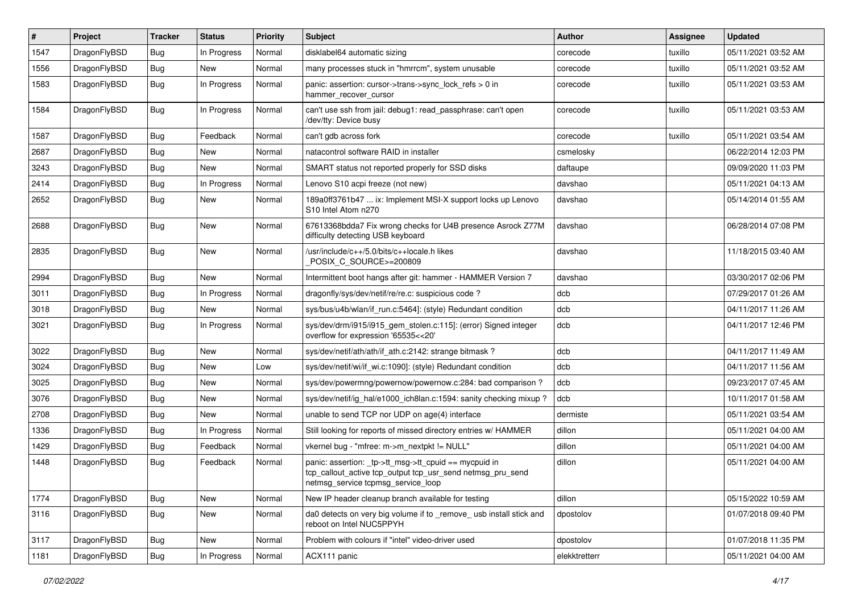| #    | Project      | <b>Tracker</b> | <b>Status</b> | <b>Priority</b> | Subject                                                                                                                                                   | <b>Author</b> | Assignee | <b>Updated</b>      |
|------|--------------|----------------|---------------|-----------------|-----------------------------------------------------------------------------------------------------------------------------------------------------------|---------------|----------|---------------------|
| 1547 | DragonFlyBSD | Bug            | In Progress   | Normal          | disklabel64 automatic sizing                                                                                                                              | corecode      | tuxillo  | 05/11/2021 03:52 AM |
| 1556 | DragonFlyBSD | Bug            | <b>New</b>    | Normal          | many processes stuck in "hmrrcm", system unusable                                                                                                         | corecode      | tuxillo  | 05/11/2021 03:52 AM |
| 1583 | DragonFlyBSD | <b>Bug</b>     | In Progress   | Normal          | panic: assertion: cursor->trans->sync_lock_refs > 0 in<br>hammer_recover_cursor                                                                           | corecode      | tuxillo  | 05/11/2021 03:53 AM |
| 1584 | DragonFlyBSD | <b>Bug</b>     | In Progress   | Normal          | can't use ssh from jail: debug1: read_passphrase: can't open<br>/dev/tty: Device busy                                                                     | corecode      | tuxillo  | 05/11/2021 03:53 AM |
| 1587 | DragonFlyBSD | Bug            | Feedback      | Normal          | can't gdb across fork                                                                                                                                     | corecode      | tuxillo  | 05/11/2021 03:54 AM |
| 2687 | DragonFlyBSD | <b>Bug</b>     | New           | Normal          | natacontrol software RAID in installer                                                                                                                    | csmelosky     |          | 06/22/2014 12:03 PM |
| 3243 | DragonFlyBSD | Bug            | <b>New</b>    | Normal          | SMART status not reported properly for SSD disks                                                                                                          | daftaupe      |          | 09/09/2020 11:03 PM |
| 2414 | DragonFlyBSD | Bug            | In Progress   | Normal          | Lenovo S10 acpi freeze (not new)                                                                                                                          | davshao       |          | 05/11/2021 04:13 AM |
| 2652 | DragonFlyBSD | Bug            | New           | Normal          | 189a0ff3761b47  ix: Implement MSI-X support locks up Lenovo<br>S <sub>10</sub> Intel Atom n <sub>270</sub>                                                | davshao       |          | 05/14/2014 01:55 AM |
| 2688 | DragonFlyBSD | Bug            | New           | Normal          | 67613368bdda7 Fix wrong checks for U4B presence Asrock Z77M<br>difficulty detecting USB keyboard                                                          | davshao       |          | 06/28/2014 07:08 PM |
| 2835 | DragonFlyBSD | Bug            | New           | Normal          | /usr/include/c++/5.0/bits/c++locale.h likes<br>POSIX_C_SOURCE>=200809                                                                                     | davshao       |          | 11/18/2015 03:40 AM |
| 2994 | DragonFlyBSD | Bug            | <b>New</b>    | Normal          | Intermittent boot hangs after git: hammer - HAMMER Version 7                                                                                              | davshao       |          | 03/30/2017 02:06 PM |
| 3011 | DragonFlyBSD | Bug            | In Progress   | Normal          | dragonfly/sys/dev/netif/re/re.c: suspicious code?                                                                                                         | dcb           |          | 07/29/2017 01:26 AM |
| 3018 | DragonFlyBSD | Bug            | <b>New</b>    | Normal          | sys/bus/u4b/wlan/if run.c:5464]: (style) Redundant condition                                                                                              | dcb           |          | 04/11/2017 11:26 AM |
| 3021 | DragonFlyBSD | Bug            | In Progress   | Normal          | sys/dev/drm/i915/i915_gem_stolen.c:115]: (error) Signed integer<br>overflow for expression '65535<<20'                                                    | dcb           |          | 04/11/2017 12:46 PM |
| 3022 | DragonFlyBSD | Bug            | New           | Normal          | sys/dev/netif/ath/ath/if ath.c:2142: strange bitmask?                                                                                                     | dcb           |          | 04/11/2017 11:49 AM |
| 3024 | DragonFlyBSD | Bug            | New           | Low             | sys/dev/netif/wi/if_wi.c:1090]: (style) Redundant condition                                                                                               | dcb           |          | 04/11/2017 11:56 AM |
| 3025 | DragonFlyBSD | Bug            | New           | Normal          | sys/dev/powermng/powernow/powernow.c:284: bad comparison?                                                                                                 | dcb           |          | 09/23/2017 07:45 AM |
| 3076 | DragonFlyBSD | Bug            | New           | Normal          | sys/dev/netif/ig hal/e1000 ich8lan.c:1594: sanity checking mixup?                                                                                         | dcb           |          | 10/11/2017 01:58 AM |
| 2708 | DragonFlyBSD | Bug            | New           | Normal          | unable to send TCP nor UDP on age(4) interface                                                                                                            | dermiste      |          | 05/11/2021 03:54 AM |
| 1336 | DragonFlyBSD | Bug            | In Progress   | Normal          | Still looking for reports of missed directory entries w/ HAMMER                                                                                           | dillon        |          | 05/11/2021 04:00 AM |
| 1429 | DragonFlyBSD | Bug            | Feedback      | Normal          | vkernel bug - "mfree: m->m_nextpkt != NULL"                                                                                                               | dillon        |          | 05/11/2021 04:00 AM |
| 1448 | DragonFlyBSD | Bug            | Feedback      | Normal          | panic: assertion: _tp->tt_msg->tt_cpuid == mycpuid in<br>tcp_callout_active tcp_output tcp_usr_send netmsg_pru_send<br>netmsg_service tcpmsg_service_loop | dillon        |          | 05/11/2021 04:00 AM |
| 1774 | DragonFlyBSD | Bug            | New           | Normal          | New IP header cleanup branch available for testing                                                                                                        | dillon        |          | 05/15/2022 10:59 AM |
| 3116 | DragonFlyBSD | Bug            | New           | Normal          | da0 detects on very big volume if to _remove_ usb install stick and<br>reboot on Intel NUC5PPYH                                                           | dpostolov     |          | 01/07/2018 09:40 PM |
| 3117 | DragonFlyBSD | <b>Bug</b>     | New           | Normal          | Problem with colours if "intel" video-driver used                                                                                                         | dpostolov     |          | 01/07/2018 11:35 PM |
| 1181 | DragonFlyBSD | <b>Bug</b>     | In Progress   | Normal          | ACX111 panic                                                                                                                                              | elekktretterr |          | 05/11/2021 04:00 AM |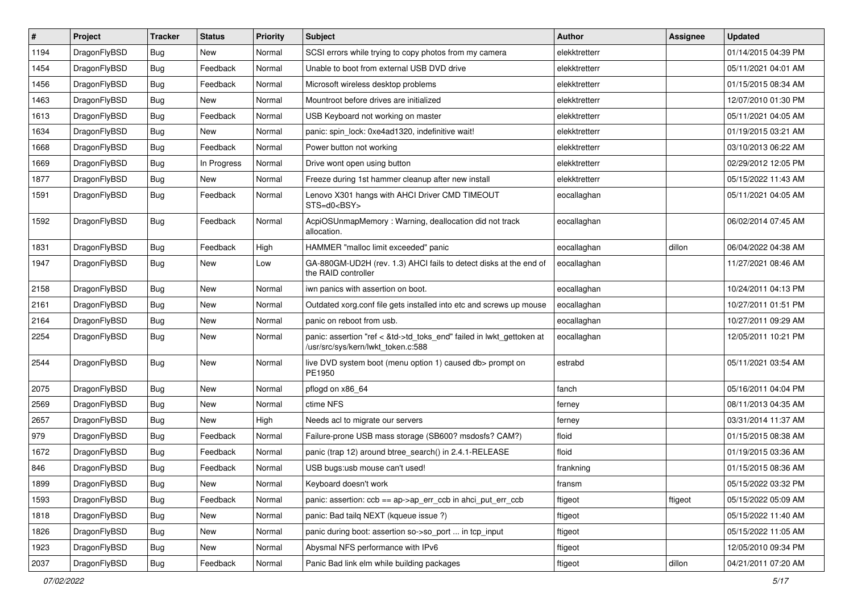| $\pmb{\#}$ | Project      | <b>Tracker</b> | <b>Status</b> | <b>Priority</b> | Subject                                                                                                    | <b>Author</b> | <b>Assignee</b> | <b>Updated</b>      |
|------------|--------------|----------------|---------------|-----------------|------------------------------------------------------------------------------------------------------------|---------------|-----------------|---------------------|
| 1194       | DragonFlyBSD | Bug            | New           | Normal          | SCSI errors while trying to copy photos from my camera                                                     | elekktretterr |                 | 01/14/2015 04:39 PM |
| 1454       | DragonFlyBSD | Bug            | Feedback      | Normal          | Unable to boot from external USB DVD drive                                                                 | elekktretterr |                 | 05/11/2021 04:01 AM |
| 1456       | DragonFlyBSD | Bug            | Feedback      | Normal          | Microsoft wireless desktop problems                                                                        | elekktretterr |                 | 01/15/2015 08:34 AM |
| 1463       | DragonFlyBSD | <b>Bug</b>     | New           | Normal          | Mountroot before drives are initialized                                                                    | elekktretterr |                 | 12/07/2010 01:30 PM |
| 1613       | DragonFlyBSD | Bug            | Feedback      | Normal          | USB Keyboard not working on master                                                                         | elekktretterr |                 | 05/11/2021 04:05 AM |
| 1634       | DragonFlyBSD | Bug            | New           | Normal          | panic: spin lock: 0xe4ad1320, indefinitive wait!                                                           | elekktretterr |                 | 01/19/2015 03:21 AM |
| 1668       | DragonFlyBSD | Bug            | Feedback      | Normal          | Power button not working                                                                                   | elekktretterr |                 | 03/10/2013 06:22 AM |
| 1669       | DragonFlyBSD | Bug            | In Progress   | Normal          | Drive wont open using button                                                                               | elekktretterr |                 | 02/29/2012 12:05 PM |
| 1877       | DragonFlyBSD | <b>Bug</b>     | New           | Normal          | Freeze during 1st hammer cleanup after new install                                                         | elekktretterr |                 | 05/15/2022 11:43 AM |
| 1591       | DragonFlyBSD | Bug            | Feedback      | Normal          | Lenovo X301 hangs with AHCI Driver CMD TIMEOUT<br>STS=d0 <bsy></bsy>                                       | eocallaghan   |                 | 05/11/2021 04:05 AM |
| 1592       | DragonFlyBSD | Bug            | Feedback      | Normal          | AcpiOSUnmapMemory: Warning, deallocation did not track<br>allocation.                                      | eocallaghan   |                 | 06/02/2014 07:45 AM |
| 1831       | DragonFlyBSD | Bug            | Feedback      | High            | HAMMER "malloc limit exceeded" panic                                                                       | eocallaghan   | dillon          | 06/04/2022 04:38 AM |
| 1947       | DragonFlyBSD | Bug            | <b>New</b>    | Low             | GA-880GM-UD2H (rev. 1.3) AHCI fails to detect disks at the end of<br>the RAID controller                   | eocallaghan   |                 | 11/27/2021 08:46 AM |
| 2158       | DragonFlyBSD | Bug            | New           | Normal          | iwn panics with assertion on boot.                                                                         | eocallaghan   |                 | 10/24/2011 04:13 PM |
| 2161       | DragonFlyBSD | Bug            | <b>New</b>    | Normal          | Outdated xorg.conf file gets installed into etc and screws up mouse                                        | eocallaghan   |                 | 10/27/2011 01:51 PM |
| 2164       | DragonFlyBSD | Bug            | New           | Normal          | panic on reboot from usb.                                                                                  | eocallaghan   |                 | 10/27/2011 09:29 AM |
| 2254       | DragonFlyBSD | Bug            | New           | Normal          | panic: assertion "ref < &td->td_toks_end" failed in lwkt_gettoken at<br>/usr/src/sys/kern/lwkt_token.c:588 | eocallaghan   |                 | 12/05/2011 10:21 PM |
| 2544       | DragonFlyBSD | Bug            | <b>New</b>    | Normal          | live DVD system boot (menu option 1) caused db> prompt on<br>PE1950                                        | estrabd       |                 | 05/11/2021 03:54 AM |
| 2075       | DragonFlyBSD | Bug            | <b>New</b>    | Normal          | pflogd on x86_64                                                                                           | fanch         |                 | 05/16/2011 04:04 PM |
| 2569       | DragonFlyBSD | Bug            | New           | Normal          | ctime NFS                                                                                                  | ferney        |                 | 08/11/2013 04:35 AM |
| 2657       | DragonFlyBSD | Bug            | <b>New</b>    | High            | Needs acl to migrate our servers                                                                           | ferney        |                 | 03/31/2014 11:37 AM |
| 979        | DragonFlyBSD | Bug            | Feedback      | Normal          | Failure-prone USB mass storage (SB600? msdosfs? CAM?)                                                      | floid         |                 | 01/15/2015 08:38 AM |
| 1672       | DragonFlyBSD | <b>Bug</b>     | Feedback      | Normal          | panic (trap 12) around btree_search() in 2.4.1-RELEASE                                                     | floid         |                 | 01/19/2015 03:36 AM |
| 846        | DragonFlyBSD | Bug            | Feedback      | Normal          | USB bugs:usb mouse can't used!                                                                             | frankning     |                 | 01/15/2015 08:36 AM |
| 1899       | DragonFlyBSD | Bug            | New           | Normal          | Keyboard doesn't work                                                                                      | transm        |                 | 05/15/2022 03:32 PM |
| 1593       | DragonFlyBSD | <b>Bug</b>     | Feedback      | Normal          | panic: assertion: ccb == ap->ap_err_ccb in ahci_put_err_ccb                                                | ftigeot       | ftigeot         | 05/15/2022 05:09 AM |
| 1818       | DragonFlyBSD | <b>Bug</b>     | New           | Normal          | panic: Bad tailg NEXT (kqueue issue ?)                                                                     | ftigeot       |                 | 05/15/2022 11:40 AM |
| 1826       | DragonFlyBSD | <b>Bug</b>     | New           | Normal          | panic during boot: assertion so->so_port  in tcp_input                                                     | ftigeot       |                 | 05/15/2022 11:05 AM |
| 1923       | DragonFlyBSD | <b>Bug</b>     | New           | Normal          | Abysmal NFS performance with IPv6                                                                          | ftigeot       |                 | 12/05/2010 09:34 PM |
| 2037       | DragonFlyBSD | Bug            | Feedback      | Normal          | Panic Bad link elm while building packages                                                                 | ftigeot       | dillon          | 04/21/2011 07:20 AM |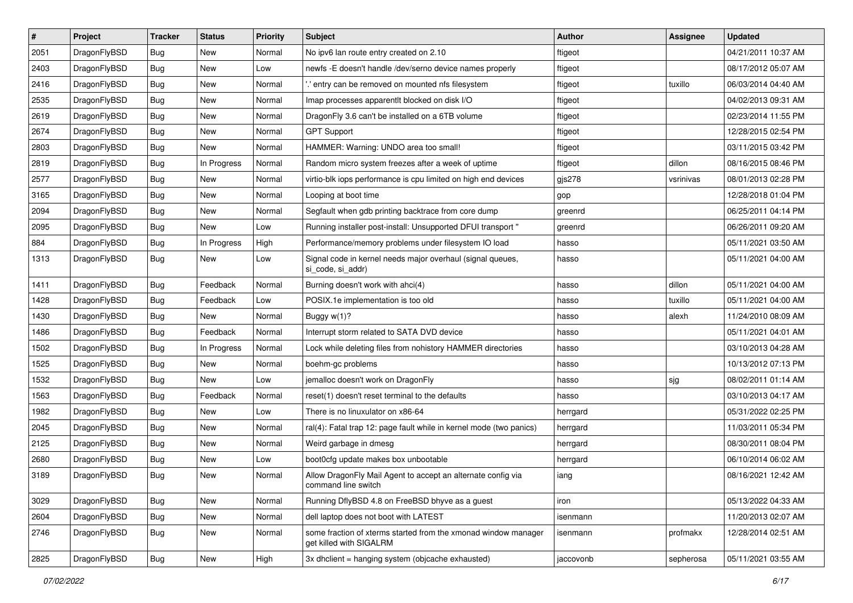| $\sharp$ | Project      | <b>Tracker</b> | <b>Status</b> | <b>Priority</b> | Subject                                                                                   | <b>Author</b> | Assignee  | <b>Updated</b>      |
|----------|--------------|----------------|---------------|-----------------|-------------------------------------------------------------------------------------------|---------------|-----------|---------------------|
| 2051     | DragonFlyBSD | Bug            | New           | Normal          | No ipv6 lan route entry created on 2.10                                                   | ftigeot       |           | 04/21/2011 10:37 AM |
| 2403     | DragonFlyBSD | Bug            | New           | Low             | newfs -E doesn't handle /dev/serno device names properly                                  | ftigeot       |           | 08/17/2012 05:07 AM |
| 2416     | DragonFlyBSD | <b>Bug</b>     | New           | Normal          | ".' entry can be removed on mounted nfs filesystem                                        | ftigeot       | tuxillo   | 06/03/2014 04:40 AM |
| 2535     | DragonFlyBSD | Bug            | <b>New</b>    | Normal          | Imap processes apparentlt blocked on disk I/O                                             | ftigeot       |           | 04/02/2013 09:31 AM |
| 2619     | DragonFlyBSD | Bug            | <b>New</b>    | Normal          | DragonFly 3.6 can't be installed on a 6TB volume                                          | ftigeot       |           | 02/23/2014 11:55 PM |
| 2674     | DragonFlyBSD | <b>Bug</b>     | <b>New</b>    | Normal          | <b>GPT Support</b>                                                                        | ftigeot       |           | 12/28/2015 02:54 PM |
| 2803     | DragonFlyBSD | Bug            | New           | Normal          | HAMMER: Warning: UNDO area too small!                                                     | ftigeot       |           | 03/11/2015 03:42 PM |
| 2819     | DragonFlyBSD | <b>Bug</b>     | In Progress   | Normal          | Random micro system freezes after a week of uptime                                        | ftigeot       | dillon    | 08/16/2015 08:46 PM |
| 2577     | DragonFlyBSD | <b>Bug</b>     | <b>New</b>    | Normal          | virtio-blk iops performance is cpu limited on high end devices                            | gjs278        | vsrinivas | 08/01/2013 02:28 PM |
| 3165     | DragonFlyBSD | Bug            | New           | Normal          | Looping at boot time                                                                      | gop           |           | 12/28/2018 01:04 PM |
| 2094     | DragonFlyBSD | Bug            | New           | Normal          | Segfault when gdb printing backtrace from core dump                                       | greenrd       |           | 06/25/2011 04:14 PM |
| 2095     | DragonFlyBSD | Bug            | <b>New</b>    | Low             | Running installer post-install: Unsupported DFUI transport "                              | greenrd       |           | 06/26/2011 09:20 AM |
| 884      | DragonFlyBSD | <b>Bug</b>     | In Progress   | High            | Performance/memory problems under filesystem IO load                                      | hasso         |           | 05/11/2021 03:50 AM |
| 1313     | DragonFlyBSD | Bug            | New           | Low             | Signal code in kernel needs major overhaul (signal queues,<br>si_code, si_addr)           | hasso         |           | 05/11/2021 04:00 AM |
| 1411     | DragonFlyBSD | <b>Bug</b>     | Feedback      | Normal          | Burning doesn't work with ahci(4)                                                         | hasso         | dillon    | 05/11/2021 04:00 AM |
| 1428     | DragonFlyBSD | <b>Bug</b>     | Feedback      | Low             | POSIX.1e implementation is too old                                                        | hasso         | tuxillo   | 05/11/2021 04:00 AM |
| 1430     | DragonFlyBSD | Bug            | New           | Normal          | Buggy w(1)?                                                                               | hasso         | alexh     | 11/24/2010 08:09 AM |
| 1486     | DragonFlyBSD | Bug            | Feedback      | Normal          | Interrupt storm related to SATA DVD device                                                | hasso         |           | 05/11/2021 04:01 AM |
| 1502     | DragonFlyBSD | <b>Bug</b>     | In Progress   | Normal          | Lock while deleting files from nohistory HAMMER directories                               | hasso         |           | 03/10/2013 04:28 AM |
| 1525     | DragonFlyBSD | Bug            | New           | Normal          | boehm-gc problems                                                                         | hasso         |           | 10/13/2012 07:13 PM |
| 1532     | DragonFlyBSD | <b>Bug</b>     | New           | Low             | jemalloc doesn't work on DragonFly                                                        | hasso         | sjg       | 08/02/2011 01:14 AM |
| 1563     | DragonFlyBSD | Bug            | Feedback      | Normal          | reset(1) doesn't reset terminal to the defaults                                           | hasso         |           | 03/10/2013 04:17 AM |
| 1982     | DragonFlyBSD | <b>Bug</b>     | New           | Low             | There is no linuxulator on x86-64                                                         | herrgard      |           | 05/31/2022 02:25 PM |
| 2045     | DragonFlyBSD | Bug            | New           | Normal          | ral(4): Fatal trap 12: page fault while in kernel mode (two panics)                       | herrgard      |           | 11/03/2011 05:34 PM |
| 2125     | DragonFlyBSD | <b>Bug</b>     | <b>New</b>    | Normal          | Weird garbage in dmesg                                                                    | herrgard      |           | 08/30/2011 08:04 PM |
| 2680     | DragonFlyBSD | Bug            | <b>New</b>    | Low             | boot0cfg update makes box unbootable                                                      | herrgard      |           | 06/10/2014 06:02 AM |
| 3189     | DragonFlyBSD | Bug            | <b>New</b>    | Normal          | Allow DragonFly Mail Agent to accept an alternate config via<br>command line switch       | iang          |           | 08/16/2021 12:42 AM |
| 3029     | DragonFlyBSD | <b>Bug</b>     | <b>New</b>    | Normal          | Running DflyBSD 4.8 on FreeBSD bhyve as a guest                                           | iron          |           | 05/13/2022 04:33 AM |
| 2604     | DragonFlyBSD | <b>Bug</b>     | <b>New</b>    | Normal          | dell laptop does not boot with LATEST                                                     | isenmann      |           | 11/20/2013 02:07 AM |
| 2746     | DragonFlyBSD | <b>Bug</b>     | New           | Normal          | some fraction of xterms started from the xmonad window manager<br>get killed with SIGALRM | isenmann      | profmakx  | 12/28/2014 02:51 AM |
| 2825     | DragonFlyBSD | <b>Bug</b>     | New           | High            | 3x dhclient = hanging system (objcache exhausted)                                         | jaccovonb     | sepherosa | 05/11/2021 03:55 AM |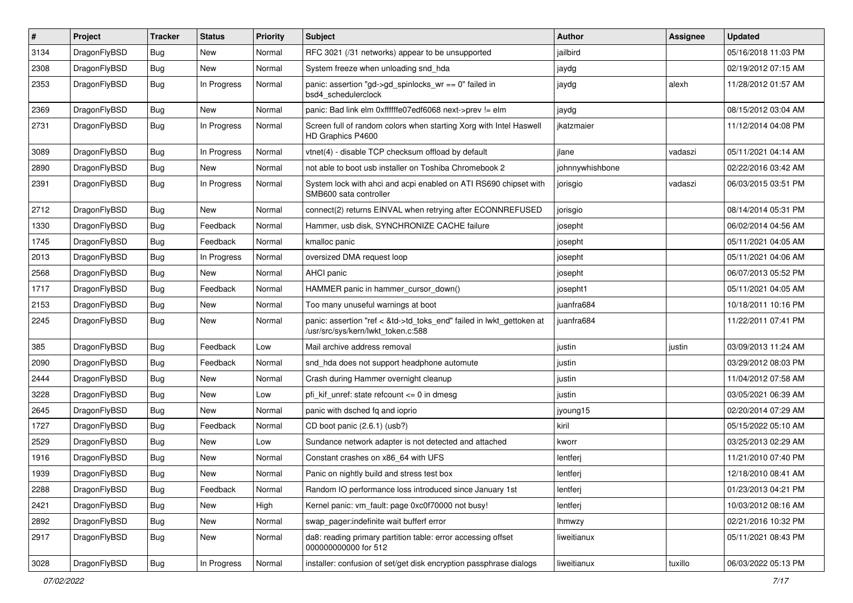| #    | Project      | <b>Tracker</b> | <b>Status</b> | <b>Priority</b> | Subject                                                                                                    | <b>Author</b>   | Assignee | <b>Updated</b>      |
|------|--------------|----------------|---------------|-----------------|------------------------------------------------------------------------------------------------------------|-----------------|----------|---------------------|
| 3134 | DragonFlyBSD | <b>Bug</b>     | New           | Normal          | RFC 3021 (/31 networks) appear to be unsupported                                                           | jailbird        |          | 05/16/2018 11:03 PM |
| 2308 | DragonFlyBSD | Bug            | New           | Normal          | System freeze when unloading snd_hda                                                                       | jaydg           |          | 02/19/2012 07:15 AM |
| 2353 | DragonFlyBSD | <b>Bug</b>     | In Progress   | Normal          | panic: assertion "gd->gd_spinlocks_wr == 0" failed in<br>bsd4_schedulerclock                               | jaydg           | alexh    | 11/28/2012 01:57 AM |
| 2369 | DragonFlyBSD | Bug            | <b>New</b>    | Normal          | panic: Bad link elm 0xffffffe07edf6068 next->prev != elm                                                   | jaydg           |          | 08/15/2012 03:04 AM |
| 2731 | DragonFlyBSD | <b>Bug</b>     | In Progress   | Normal          | Screen full of random colors when starting Xorg with Intel Haswell<br>HD Graphics P4600                    | jkatzmaier      |          | 11/12/2014 04:08 PM |
| 3089 | DragonFlyBSD | Bug            | In Progress   | Normal          | vtnet(4) - disable TCP checksum offload by default                                                         | ilane           | vadaszi  | 05/11/2021 04:14 AM |
| 2890 | DragonFlyBSD | <b>Bug</b>     | <b>New</b>    | Normal          | not able to boot usb installer on Toshiba Chromebook 2                                                     | johnnywhishbone |          | 02/22/2016 03:42 AM |
| 2391 | DragonFlyBSD | Bug            | In Progress   | Normal          | System lock with ahci and acpi enabled on ATI RS690 chipset with<br>SMB600 sata controller                 | jorisgio        | vadaszi  | 06/03/2015 03:51 PM |
| 2712 | DragonFlyBSD | Bug            | <b>New</b>    | Normal          | connect(2) returns EINVAL when retrying after ECONNREFUSED                                                 | jorisgio        |          | 08/14/2014 05:31 PM |
| 1330 | DragonFlyBSD | Bug            | Feedback      | Normal          | Hammer, usb disk, SYNCHRONIZE CACHE failure                                                                | josepht         |          | 06/02/2014 04:56 AM |
| 1745 | DragonFlyBSD | <b>Bug</b>     | Feedback      | Normal          | kmalloc panic                                                                                              | josepht         |          | 05/11/2021 04:05 AM |
| 2013 | DragonFlyBSD | <b>Bug</b>     | In Progress   | Normal          | oversized DMA request loop                                                                                 | josepht         |          | 05/11/2021 04:06 AM |
| 2568 | DragonFlyBSD | <b>Bug</b>     | New           | Normal          | AHCI panic                                                                                                 | josepht         |          | 06/07/2013 05:52 PM |
| 1717 | DragonFlyBSD | <b>Bug</b>     | Feedback      | Normal          | HAMMER panic in hammer cursor down()                                                                       | josepht1        |          | 05/11/2021 04:05 AM |
| 2153 | DragonFlyBSD | Bug            | New           | Normal          | Too many unuseful warnings at boot                                                                         | juanfra684      |          | 10/18/2011 10:16 PM |
| 2245 | DragonFlyBSD | <b>Bug</b>     | New           | Normal          | panic: assertion "ref < &td->td_toks_end" failed in lwkt_gettoken at<br>/usr/src/sys/kern/lwkt_token.c:588 | juanfra684      |          | 11/22/2011 07:41 PM |
| 385  | DragonFlyBSD | <b>Bug</b>     | Feedback      | Low             | Mail archive address removal                                                                               | justin          | justin   | 03/09/2013 11:24 AM |
| 2090 | DragonFlyBSD | <b>Bug</b>     | Feedback      | Normal          | snd_hda does not support headphone automute                                                                | justin          |          | 03/29/2012 08:03 PM |
| 2444 | DragonFlyBSD | <b>Bug</b>     | <b>New</b>    | Normal          | Crash during Hammer overnight cleanup                                                                      | justin          |          | 11/04/2012 07:58 AM |
| 3228 | DragonFlyBSD | <b>Bug</b>     | New           | Low             | pfi kif unref: state refcount $\leq$ 0 in dmesg                                                            | justin          |          | 03/05/2021 06:39 AM |
| 2645 | DragonFlyBSD | <b>Bug</b>     | New           | Normal          | panic with dsched fq and ioprio                                                                            | jyoung15        |          | 02/20/2014 07:29 AM |
| 1727 | DragonFlyBSD | <b>Bug</b>     | Feedback      | Normal          | CD boot panic (2.6.1) (usb?)                                                                               | kiril           |          | 05/15/2022 05:10 AM |
| 2529 | DragonFlyBSD | <b>Bug</b>     | New           | Low             | Sundance network adapter is not detected and attached                                                      | kworr           |          | 03/25/2013 02:29 AM |
| 1916 | DragonFlyBSD | <b>Bug</b>     | <b>New</b>    | Normal          | Constant crashes on x86 64 with UFS                                                                        | lentferj        |          | 11/21/2010 07:40 PM |
| 1939 | DragonFlyBSD | Bug            | New           | Normal          | Panic on nightly build and stress test box                                                                 | lentferj        |          | 12/18/2010 08:41 AM |
| 2288 | DragonFlyBSD | <b>Bug</b>     | Feedback      | Normal          | Random IO performance loss introduced since January 1st                                                    | lentferj        |          | 01/23/2013 04:21 PM |
| 2421 | DragonFlyBSD | <b>Bug</b>     | <b>New</b>    | High            | Kernel panic: vm_fault: page 0xc0f70000 not busy!                                                          | lentferj        |          | 10/03/2012 08:16 AM |
| 2892 | DragonFlyBSD | <b>Bug</b>     | New           | Normal          | swap pager:indefinite wait bufferf error                                                                   | <b>Ihmwzy</b>   |          | 02/21/2016 10:32 PM |
| 2917 | DragonFlyBSD | <b>Bug</b>     | New           | Normal          | da8: reading primary partition table: error accessing offset<br>000000000000 for 512                       | liweitianux     |          | 05/11/2021 08:43 PM |
| 3028 | DragonFlyBSD | Bug            | In Progress   | Normal          | installer: confusion of set/get disk encryption passphrase dialogs                                         | liweitianux     | tuxillo  | 06/03/2022 05:13 PM |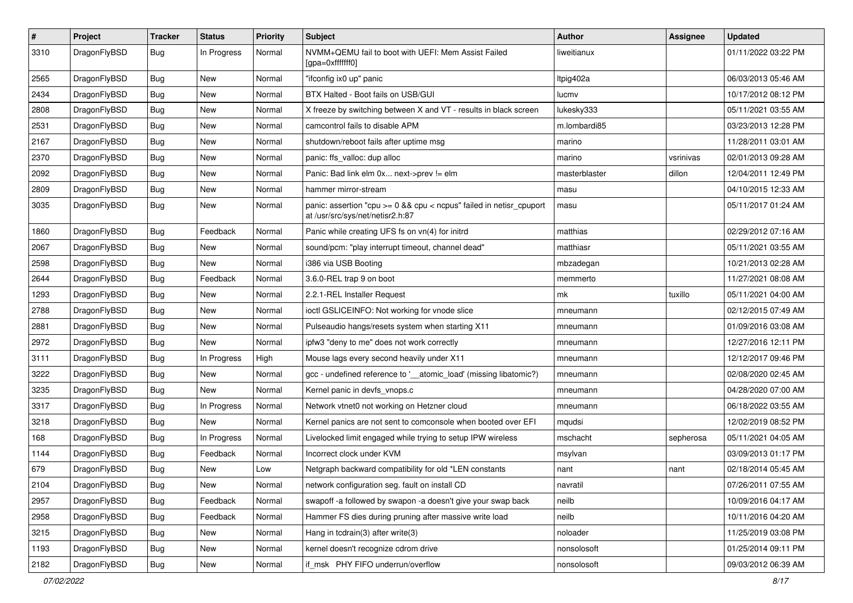| $\pmb{\#}$ | Project      | <b>Tracker</b> | <b>Status</b> | <b>Priority</b> | <b>Subject</b>                                                                                              | <b>Author</b> | <b>Assignee</b> | <b>Updated</b>      |
|------------|--------------|----------------|---------------|-----------------|-------------------------------------------------------------------------------------------------------------|---------------|-----------------|---------------------|
| 3310       | DragonFlyBSD | Bug            | In Progress   | Normal          | NVMM+QEMU fail to boot with UEFI: Mem Assist Failed<br>[gpa=0xfffffff0]                                     | liweitianux   |                 | 01/11/2022 03:22 PM |
| 2565       | DragonFlyBSD | <b>Bug</b>     | <b>New</b>    | Normal          | "ifconfig ix0 up" panic                                                                                     | Itpig402a     |                 | 06/03/2013 05:46 AM |
| 2434       | DragonFlyBSD | Bug            | New           | Normal          | BTX Halted - Boot fails on USB/GUI                                                                          | lucmv         |                 | 10/17/2012 08:12 PM |
| 2808       | DragonFlyBSD | <b>Bug</b>     | <b>New</b>    | Normal          | X freeze by switching between X and VT - results in black screen                                            | lukesky333    |                 | 05/11/2021 03:55 AM |
| 2531       | DragonFlyBSD | Bug            | New           | Normal          | camcontrol fails to disable APM                                                                             | m.lombardi85  |                 | 03/23/2013 12:28 PM |
| 2167       | DragonFlyBSD | Bug            | <b>New</b>    | Normal          | shutdown/reboot fails after uptime msg                                                                      | marino        |                 | 11/28/2011 03:01 AM |
| 2370       | DragonFlyBSD | Bug            | New           | Normal          | panic: ffs_valloc: dup alloc                                                                                | marino        | vsrinivas       | 02/01/2013 09:28 AM |
| 2092       | DragonFlyBSD | Bug            | <b>New</b>    | Normal          | Panic: Bad link elm 0x next->prev != elm                                                                    | masterblaster | dillon          | 12/04/2011 12:49 PM |
| 2809       | DragonFlyBSD | Bug            | <b>New</b>    | Normal          | hammer mirror-stream                                                                                        | masu          |                 | 04/10/2015 12:33 AM |
| 3035       | DragonFlyBSD | Bug            | New           | Normal          | panic: assertion "cpu $>= 0$ && cpu $<$ ncpus" failed in netisr cpuport<br>at /usr/src/sys/net/netisr2.h:87 | masu          |                 | 05/11/2017 01:24 AM |
| 1860       | DragonFlyBSD | <b>Bug</b>     | Feedback      | Normal          | Panic while creating UFS fs on vn(4) for initrd                                                             | matthias      |                 | 02/29/2012 07:16 AM |
| 2067       | DragonFlyBSD | Bug            | <b>New</b>    | Normal          | sound/pcm: "play interrupt timeout, channel dead"                                                           | matthiasr     |                 | 05/11/2021 03:55 AM |
| 2598       | DragonFlyBSD | Bug            | New           | Normal          | i386 via USB Booting                                                                                        | mbzadegan     |                 | 10/21/2013 02:28 AM |
| 2644       | DragonFlyBSD | Bug            | Feedback      | Normal          | 3.6.0-REL trap 9 on boot                                                                                    | memmerto      |                 | 11/27/2021 08:08 AM |
| 1293       | DragonFlyBSD | Bug            | <b>New</b>    | Normal          | 2.2.1-REL Installer Request                                                                                 | mk            | tuxillo         | 05/11/2021 04:00 AM |
| 2788       | DragonFlyBSD | Bug            | <b>New</b>    | Normal          | ioctl GSLICEINFO: Not working for vnode slice                                                               | mneumann      |                 | 02/12/2015 07:49 AM |
| 2881       | DragonFlyBSD | Bug            | New           | Normal          | Pulseaudio hangs/resets system when starting X11                                                            | mneumann      |                 | 01/09/2016 03:08 AM |
| 2972       | DragonFlyBSD | Bug            | New           | Normal          | ipfw3 "deny to me" does not work correctly                                                                  | mneumann      |                 | 12/27/2016 12:11 PM |
| 3111       | DragonFlyBSD | Bug            | In Progress   | High            | Mouse lags every second heavily under X11                                                                   | mneumann      |                 | 12/12/2017 09:46 PM |
| 3222       | DragonFlyBSD | <b>Bug</b>     | <b>New</b>    | Normal          | gcc - undefined reference to '__atomic_load' (missing libatomic?)                                           | mneumann      |                 | 02/08/2020 02:45 AM |
| 3235       | DragonFlyBSD | Bug            | New           | Normal          | Kernel panic in devfs_vnops.c                                                                               | mneumann      |                 | 04/28/2020 07:00 AM |
| 3317       | DragonFlyBSD | Bug            | In Progress   | Normal          | Network vtnet0 not working on Hetzner cloud                                                                 | mneumann      |                 | 06/18/2022 03:55 AM |
| 3218       | DragonFlyBSD | Bug            | <b>New</b>    | Normal          | Kernel panics are not sent to comconsole when booted over EFI                                               | mqudsi        |                 | 12/02/2019 08:52 PM |
| 168        | DragonFlyBSD | Bug            | In Progress   | Normal          | Livelocked limit engaged while trying to setup IPW wireless                                                 | mschacht      | sepherosa       | 05/11/2021 04:05 AM |
| 1144       | DragonFlyBSD | Bug            | Feedback      | Normal          | Incorrect clock under KVM                                                                                   | msylvan       |                 | 03/09/2013 01:17 PM |
| 679        | DragonFlyBSD | Bug            | New           | Low             | Netgraph backward compatibility for old *LEN constants                                                      | nant          | nant            | 02/18/2014 05:45 AM |
| 2104       | DragonFlyBSD | Bug            | New           | Normal          | network configuration seg. fault on install CD                                                              | navratil      |                 | 07/26/2011 07:55 AM |
| 2957       | DragonFlyBSD | <b>Bug</b>     | Feedback      | Normal          | swapoff -a followed by swapon -a doesn't give your swap back                                                | neilb         |                 | 10/09/2016 04:17 AM |
| 2958       | DragonFlyBSD | <b>Bug</b>     | Feedback      | Normal          | Hammer FS dies during pruning after massive write load                                                      | neilb         |                 | 10/11/2016 04:20 AM |
| 3215       | DragonFlyBSD | <b>Bug</b>     | New           | Normal          | Hang in tcdrain(3) after write $(3)$                                                                        | noloader      |                 | 11/25/2019 03:08 PM |
| 1193       | DragonFlyBSD | <b>Bug</b>     | New           | Normal          | kernel doesn't recognize cdrom drive                                                                        | nonsolosoft   |                 | 01/25/2014 09:11 PM |
| 2182       | DragonFlyBSD | <b>Bug</b>     | New           | Normal          | if msk PHY FIFO underrun/overflow                                                                           | nonsolosoft   |                 | 09/03/2012 06:39 AM |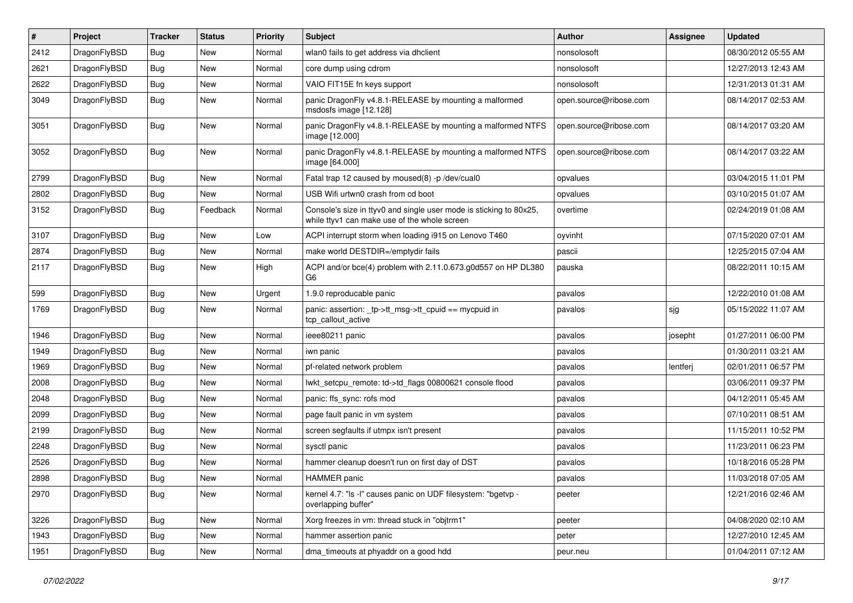| $\sharp$ | Project      | <b>Tracker</b> | <b>Status</b> | <b>Priority</b> | Subject                                                                                                            | <b>Author</b>          | Assignee | <b>Updated</b>      |
|----------|--------------|----------------|---------------|-----------------|--------------------------------------------------------------------------------------------------------------------|------------------------|----------|---------------------|
| 2412     | DragonFlyBSD | <b>Bug</b>     | <b>New</b>    | Normal          | wlan0 fails to get address via dhclient                                                                            | nonsolosoft            |          | 08/30/2012 05:55 AM |
| 2621     | DragonFlyBSD | <b>Bug</b>     | <b>New</b>    | Normal          | core dump using cdrom                                                                                              | nonsolosoft            |          | 12/27/2013 12:43 AM |
| 2622     | DragonFlyBSD | <b>Bug</b>     | New           | Normal          | VAIO FIT15E fn keys support                                                                                        | nonsolosoft            |          | 12/31/2013 01:31 AM |
| 3049     | DragonFlyBSD | <b>Bug</b>     | <b>New</b>    | Normal          | panic DragonFly v4.8.1-RELEASE by mounting a malformed<br>msdosfs image [12.128]                                   | open.source@ribose.com |          | 08/14/2017 02:53 AM |
| 3051     | DragonFlyBSD | <b>Bug</b>     | New           | Normal          | panic DragonFly v4.8.1-RELEASE by mounting a malformed NTFS<br>image [12.000]                                      | open.source@ribose.com |          | 08/14/2017 03:20 AM |
| 3052     | DragonFlyBSD | Bug            | <b>New</b>    | Normal          | panic DragonFly v4.8.1-RELEASE by mounting a malformed NTFS<br>image [64.000]                                      | open.source@ribose.com |          | 08/14/2017 03:22 AM |
| 2799     | DragonFlyBSD | <b>Bug</b>     | <b>New</b>    | Normal          | Fatal trap 12 caused by moused(8) -p /dev/cual0                                                                    | opvalues               |          | 03/04/2015 11:01 PM |
| 2802     | DragonFlyBSD | <b>Bug</b>     | New           | Normal          | USB Wifi urtwn0 crash from cd boot                                                                                 | opvalues               |          | 03/10/2015 01:07 AM |
| 3152     | DragonFlyBSD | <b>Bug</b>     | Feedback      | Normal          | Console's size in ttyv0 and single user mode is sticking to 80x25,<br>while ttyv1 can make use of the whole screen | overtime               |          | 02/24/2019 01:08 AM |
| 3107     | DragonFlyBSD | <b>Bug</b>     | New           | Low             | ACPI interrupt storm when loading i915 on Lenovo T460                                                              | oyvinht                |          | 07/15/2020 07:01 AM |
| 2874     | DragonFlyBSD | <b>Bug</b>     | <b>New</b>    | Normal          | make world DESTDIR=/emptydir fails                                                                                 | pascii                 |          | 12/25/2015 07:04 AM |
| 2117     | DragonFlyBSD | <b>Bug</b>     | <b>New</b>    | High            | ACPI and/or bce(4) problem with 2.11.0.673.g0d557 on HP DL380<br>G <sub>6</sub>                                    | pauska                 |          | 08/22/2011 10:15 AM |
| 599      | DragonFlyBSD | Bug            | New           | Urgent          | 1.9.0 reproducable panic                                                                                           | pavalos                |          | 12/22/2010 01:08 AM |
| 1769     | DragonFlyBSD | <b>Bug</b>     | <b>New</b>    | Normal          | panic: assertion: _tp->tt_msg->tt_cpuid == mycpuid in<br>tcp_callout_active                                        | pavalos                | sjg      | 05/15/2022 11:07 AM |
| 1946     | DragonFlyBSD | Bug            | <b>New</b>    | Normal          | ieee80211 panic                                                                                                    | pavalos                | josepht  | 01/27/2011 06:00 PM |
| 1949     | DragonFlyBSD | <b>Bug</b>     | New           | Normal          | iwn panic                                                                                                          | pavalos                |          | 01/30/2011 03:21 AM |
| 1969     | DragonFlyBSD | <b>Bug</b>     | New           | Normal          | pf-related network problem                                                                                         | pavalos                | lentferj | 02/01/2011 06:57 PM |
| 2008     | DragonFlyBSD | <b>Bug</b>     | <b>New</b>    | Normal          | lwkt_setcpu_remote: td->td_flags 00800621 console flood                                                            | pavalos                |          | 03/06/2011 09:37 PM |
| 2048     | DragonFlyBSD | <b>Bug</b>     | New           | Normal          | panic: ffs_sync: rofs mod                                                                                          | pavalos                |          | 04/12/2011 05:45 AM |
| 2099     | DragonFlyBSD | Bug            | <b>New</b>    | Normal          | page fault panic in vm system                                                                                      | pavalos                |          | 07/10/2011 08:51 AM |
| 2199     | DragonFlyBSD | <b>Bug</b>     | New           | Normal          | screen segfaults if utmpx isn't present                                                                            | pavalos                |          | 11/15/2011 10:52 PM |
| 2248     | DragonFlyBSD | <b>Bug</b>     | <b>New</b>    | Normal          | sysctl panic                                                                                                       | pavalos                |          | 11/23/2011 06:23 PM |
| 2526     | DragonFlyBSD | <b>Bug</b>     | New           | Normal          | hammer cleanup doesn't run on first day of DST                                                                     | pavalos                |          | 10/18/2016 05:28 PM |
| 2898     | DragonFlyBSD | Bug            | <b>New</b>    | Normal          | <b>HAMMER</b> panic                                                                                                | pavalos                |          | 11/03/2018 07:05 AM |
| 2970     | DragonFlyBSD | <b>Bug</b>     | New           | Normal          | kernel 4.7: "Is -I" causes panic on UDF filesystem: "bgetvp -<br>overlapping buffer"                               | peeter                 |          | 12/21/2016 02:46 AM |
| 3226     | DragonFlyBSD | <b>Bug</b>     | <b>New</b>    | Normal          | Xorg freezes in vm: thread stuck in "objtrm1"                                                                      | peeter                 |          | 04/08/2020 02:10 AM |
| 1943     | DragonFlyBSD | Bug            | New           | Normal          | hammer assertion panic                                                                                             | peter                  |          | 12/27/2010 12:45 AM |
| 1951     | DragonFlyBSD | <b>Bug</b>     | New           | Normal          | dma_timeouts at phyaddr on a good hdd                                                                              | peur.neu               |          | 01/04/2011 07:12 AM |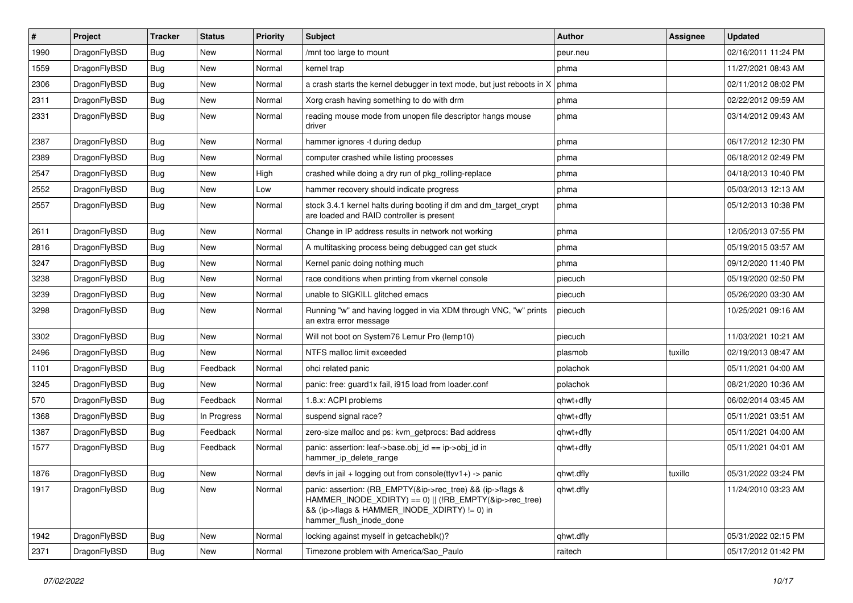| #    | Project      | <b>Tracker</b> | <b>Status</b> | <b>Priority</b> | Subject                                                                                                                                                                                           | <b>Author</b> | Assignee | <b>Updated</b>      |
|------|--------------|----------------|---------------|-----------------|---------------------------------------------------------------------------------------------------------------------------------------------------------------------------------------------------|---------------|----------|---------------------|
| 1990 | DragonFlyBSD | <b>Bug</b>     | <b>New</b>    | Normal          | /mnt too large to mount                                                                                                                                                                           | peur.neu      |          | 02/16/2011 11:24 PM |
| 1559 | DragonFlyBSD | <b>Bug</b>     | <b>New</b>    | Normal          | kernel trap                                                                                                                                                                                       | phma          |          | 11/27/2021 08:43 AM |
| 2306 | DragonFlyBSD | <b>Bug</b>     | New           | Normal          | a crash starts the kernel debugger in text mode, but just reboots in X                                                                                                                            | phma          |          | 02/11/2012 08:02 PM |
| 2311 | DragonFlyBSD | <b>Bug</b>     | New           | Normal          | Xorg crash having something to do with drm                                                                                                                                                        | phma          |          | 02/22/2012 09:59 AM |
| 2331 | DragonFlyBSD | <b>Bug</b>     | New           | Normal          | reading mouse mode from unopen file descriptor hangs mouse<br>driver                                                                                                                              | phma          |          | 03/14/2012 09:43 AM |
| 2387 | DragonFlyBSD | <b>Bug</b>     | New           | Normal          | hammer ignores -t during dedup                                                                                                                                                                    | phma          |          | 06/17/2012 12:30 PM |
| 2389 | DragonFlyBSD | Bug            | New           | Normal          | computer crashed while listing processes                                                                                                                                                          | phma          |          | 06/18/2012 02:49 PM |
| 2547 | DragonFlyBSD | <b>Bug</b>     | New           | High            | crashed while doing a dry run of pkg_rolling-replace                                                                                                                                              | phma          |          | 04/18/2013 10:40 PM |
| 2552 | DragonFlyBSD | <b>Bug</b>     | New           | Low             | hammer recovery should indicate progress                                                                                                                                                          | phma          |          | 05/03/2013 12:13 AM |
| 2557 | DragonFlyBSD | <b>Bug</b>     | New           | Normal          | stock 3.4.1 kernel halts during booting if dm and dm_target_crypt<br>are loaded and RAID controller is present                                                                                    | phma          |          | 05/12/2013 10:38 PM |
| 2611 | DragonFlyBSD | <b>Bug</b>     | New           | Normal          | Change in IP address results in network not working                                                                                                                                               | phma          |          | 12/05/2013 07:55 PM |
| 2816 | DragonFlyBSD | <b>Bug</b>     | New           | Normal          | A multitasking process being debugged can get stuck                                                                                                                                               | phma          |          | 05/19/2015 03:57 AM |
| 3247 | DragonFlyBSD | <b>Bug</b>     | New           | Normal          | Kernel panic doing nothing much                                                                                                                                                                   | phma          |          | 09/12/2020 11:40 PM |
| 3238 | DragonFlyBSD | <b>Bug</b>     | New           | Normal          | race conditions when printing from vkernel console                                                                                                                                                | piecuch       |          | 05/19/2020 02:50 PM |
| 3239 | DragonFlyBSD | <b>Bug</b>     | New           | Normal          | unable to SIGKILL glitched emacs                                                                                                                                                                  | piecuch       |          | 05/26/2020 03:30 AM |
| 3298 | DragonFlyBSD | <b>Bug</b>     | New           | Normal          | Running "w" and having logged in via XDM through VNC, "w" prints<br>an extra error message                                                                                                        | piecuch       |          | 10/25/2021 09:16 AM |
| 3302 | DragonFlyBSD | Bug            | New           | Normal          | Will not boot on System76 Lemur Pro (lemp10)                                                                                                                                                      | piecuch       |          | 11/03/2021 10:21 AM |
| 2496 | DragonFlyBSD | <b>Bug</b>     | New           | Normal          | NTFS malloc limit exceeded                                                                                                                                                                        | plasmob       | tuxillo  | 02/19/2013 08:47 AM |
| 1101 | DragonFlyBSD | <b>Bug</b>     | Feedback      | Normal          | ohci related panic                                                                                                                                                                                | polachok      |          | 05/11/2021 04:00 AM |
| 3245 | DragonFlyBSD | <b>Bug</b>     | <b>New</b>    | Normal          | panic: free: guard1x fail, i915 load from loader.conf                                                                                                                                             | polachok      |          | 08/21/2020 10:36 AM |
| 570  | DragonFlyBSD | <b>Bug</b>     | Feedback      | Normal          | 1.8.x: ACPI problems                                                                                                                                                                              | qhwt+dfly     |          | 06/02/2014 03:45 AM |
| 1368 | DragonFlyBSD | <b>Bug</b>     | In Progress   | Normal          | suspend signal race?                                                                                                                                                                              | qhwt+dfly     |          | 05/11/2021 03:51 AM |
| 1387 | DragonFlyBSD | <b>Bug</b>     | Feedback      | Normal          | zero-size malloc and ps: kvm getprocs: Bad address                                                                                                                                                | qhwt+dfly     |          | 05/11/2021 04:00 AM |
| 1577 | DragonFlyBSD | <b>Bug</b>     | Feedback      | Normal          | panic: assertion: leaf->base.obj_id == ip->obj_id in<br>hammer_ip_delete_range                                                                                                                    | qhwt+dfly     |          | 05/11/2021 04:01 AM |
| 1876 | DragonFlyBSD | <b>Bug</b>     | New           | Normal          | devfs in jail + logging out from console(ttyv1+) -> panic                                                                                                                                         | qhwt.dfly     | tuxillo  | 05/31/2022 03:24 PM |
| 1917 | DragonFlyBSD | <b>Bug</b>     | New           | Normal          | panic: assertion: (RB_EMPTY(&ip->rec_tree) && (ip->flags &<br>HAMMER_INODE_XDIRTY) == 0)    (!RB_EMPTY(&ip->rec_tree)<br>&& (ip->flags & HAMMER INODE XDIRTY) != 0) in<br>hammer_flush_inode_done | qhwt.dfly     |          | 11/24/2010 03:23 AM |
| 1942 | DragonFlyBSD | Bug            | New           | Normal          | locking against myself in getcacheblk()?                                                                                                                                                          | qhwt.dfly     |          | 05/31/2022 02:15 PM |
| 2371 | DragonFlyBSD | Bug            | New           | Normal          | Timezone problem with America/Sao_Paulo                                                                                                                                                           | raitech       |          | 05/17/2012 01:42 PM |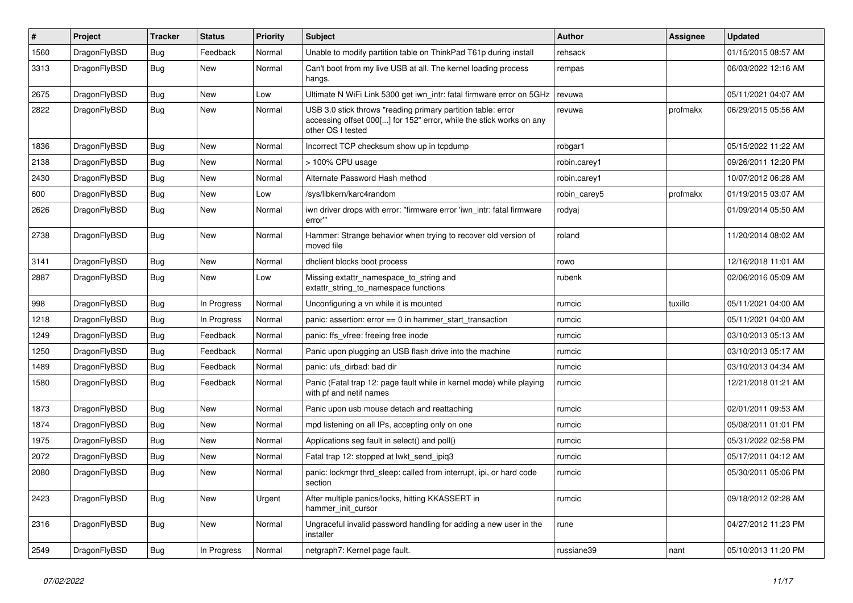| $\sharp$ | <b>Project</b> | <b>Tracker</b> | <b>Status</b> | <b>Priority</b> | <b>Subject</b>                                                                                                                                           | <b>Author</b> | Assignee | Updated             |
|----------|----------------|----------------|---------------|-----------------|----------------------------------------------------------------------------------------------------------------------------------------------------------|---------------|----------|---------------------|
| 1560     | DragonFlyBSD   | <b>Bug</b>     | Feedback      | Normal          | Unable to modify partition table on ThinkPad T61p during install                                                                                         | rehsack       |          | 01/15/2015 08:57 AM |
| 3313     | DragonFlyBSD   | <b>Bug</b>     | New           | Normal          | Can't boot from my live USB at all. The kernel loading process<br>hangs.                                                                                 | rempas        |          | 06/03/2022 12:16 AM |
| 2675     | DragonFlyBSD   | Bug            | <b>New</b>    | Low             | Ultimate N WiFi Link 5300 get iwn intr: fatal firmware error on 5GHz                                                                                     | revuwa        |          | 05/11/2021 04:07 AM |
| 2822     | DragonFlyBSD   | <b>Bug</b>     | <b>New</b>    | Normal          | USB 3.0 stick throws "reading primary partition table: error<br>accessing offset 000[] for 152" error, while the stick works on any<br>other OS I tested | revuwa        | profmakx | 06/29/2015 05:56 AM |
| 1836     | DragonFlyBSD   | Bug            | <b>New</b>    | Normal          | Incorrect TCP checksum show up in tcpdump                                                                                                                | robgar1       |          | 05/15/2022 11:22 AM |
| 2138     | DragonFlyBSD   | <b>Bug</b>     | <b>New</b>    | Normal          | > 100% CPU usage                                                                                                                                         | robin.carey1  |          | 09/26/2011 12:20 PM |
| 2430     | DragonFlyBSD   | Bug            | <b>New</b>    | Normal          | Alternate Password Hash method                                                                                                                           | robin.carey1  |          | 10/07/2012 06:28 AM |
| 600      | DragonFlyBSD   | <b>Bug</b>     | <b>New</b>    | Low             | /sys/libkern/karc4random                                                                                                                                 | robin_carey5  | profmakx | 01/19/2015 03:07 AM |
| 2626     | DragonFlyBSD   | <b>Bug</b>     | <b>New</b>    | Normal          | iwn driver drops with error: "firmware error 'iwn intr: fatal firmware<br>error"                                                                         | rodyaj        |          | 01/09/2014 05:50 AM |
| 2738     | DragonFlyBSD   | <b>Bug</b>     | <b>New</b>    | Normal          | Hammer: Strange behavior when trying to recover old version of<br>moved file                                                                             | roland        |          | 11/20/2014 08:02 AM |
| 3141     | DragonFlyBSD   | Bug            | <b>New</b>    | Normal          | dhclient blocks boot process                                                                                                                             | rowo          |          | 12/16/2018 11:01 AM |
| 2887     | DragonFlyBSD   | Bug            | New           | Low             | Missing extattr namespace to string and<br>extattr string to namespace functions                                                                         | rubenk        |          | 02/06/2016 05:09 AM |
| 998      | DragonFlyBSD   | Bug            | In Progress   | Normal          | Unconfiguring a vn while it is mounted                                                                                                                   | rumcic        | tuxillo  | 05/11/2021 04:00 AM |
| 1218     | DragonFlyBSD   | <b>Bug</b>     | In Progress   | Normal          | panic: assertion: $error == 0$ in hammer start transaction                                                                                               | rumcic        |          | 05/11/2021 04:00 AM |
| 1249     | DragonFlyBSD   | <b>Bug</b>     | Feedback      | Normal          | panic: ffs vfree: freeing free inode                                                                                                                     | rumcic        |          | 03/10/2013 05:13 AM |
| 1250     | DragonFlyBSD   | <b>Bug</b>     | Feedback      | Normal          | Panic upon plugging an USB flash drive into the machine                                                                                                  | rumcic        |          | 03/10/2013 05:17 AM |
| 1489     | DragonFlyBSD   | <b>Bug</b>     | Feedback      | Normal          | panic: ufs dirbad: bad dir                                                                                                                               | rumcic        |          | 03/10/2013 04:34 AM |
| 1580     | DragonFlyBSD   | Bug            | Feedback      | Normal          | Panic (Fatal trap 12: page fault while in kernel mode) while playing<br>with pf and netif names                                                          | rumcic        |          | 12/21/2018 01:21 AM |
| 1873     | DragonFlyBSD   | <b>Bug</b>     | <b>New</b>    | Normal          | Panic upon usb mouse detach and reattaching                                                                                                              | rumcic        |          | 02/01/2011 09:53 AM |
| 1874     | DragonFlyBSD   | Bug            | New           | Normal          | mpd listening on all IPs, accepting only on one                                                                                                          | rumcic        |          | 05/08/2011 01:01 PM |
| 1975     | DragonFlyBSD   | Bug            | New           | Normal          | Applications seg fault in select() and poll()                                                                                                            | rumcic        |          | 05/31/2022 02:58 PM |
| 2072     | DragonFlyBSD   | <b>Bug</b>     | <b>New</b>    | Normal          | Fatal trap 12: stopped at lwkt_send_ipiq3                                                                                                                | rumcic        |          | 05/17/2011 04:12 AM |
| 2080     | DragonFlyBSD   | Bug            | New           | Normal          | panic: lockmgr thrd_sleep: called from interrupt, ipi, or hard code<br>section                                                                           | rumcic        |          | 05/30/2011 05:06 PM |
| 2423     | DragonFlyBSD   | Bug            | New           | Urgent          | After multiple panics/locks, hitting KKASSERT in<br>hammer init cursor                                                                                   | rumcic        |          | 09/18/2012 02:28 AM |
| 2316     | DragonFlyBSD   | Bug            | <b>New</b>    | Normal          | Ungraceful invalid password handling for adding a new user in the<br>installer                                                                           | rune          |          | 04/27/2012 11:23 PM |
| 2549     | DragonFlyBSD   | Bug            | In Progress   | Normal          | netgraph7: Kernel page fault.                                                                                                                            | russiane39    | nant     | 05/10/2013 11:20 PM |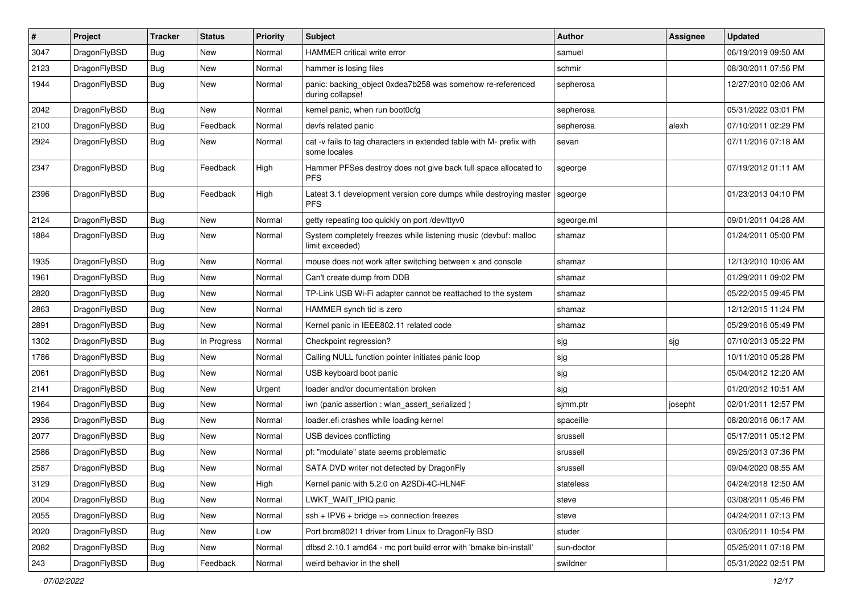| $\pmb{\#}$ | Project      | <b>Tracker</b> | <b>Status</b> | <b>Priority</b> | Subject                                                                              | <b>Author</b> | Assignee | <b>Updated</b>      |
|------------|--------------|----------------|---------------|-----------------|--------------------------------------------------------------------------------------|---------------|----------|---------------------|
| 3047       | DragonFlyBSD | Bug            | <b>New</b>    | Normal          | HAMMER critical write error                                                          | samuel        |          | 06/19/2019 09:50 AM |
| 2123       | DragonFlyBSD | Bug            | <b>New</b>    | Normal          | hammer is losing files                                                               | schmir        |          | 08/30/2011 07:56 PM |
| 1944       | DragonFlyBSD | Bug            | New           | Normal          | panic: backing object 0xdea7b258 was somehow re-referenced<br>during collapse!       | sepherosa     |          | 12/27/2010 02:06 AM |
| 2042       | DragonFlyBSD | Bug            | <b>New</b>    | Normal          | kernel panic, when run boot0cfg                                                      | sepherosa     |          | 05/31/2022 03:01 PM |
| 2100       | DragonFlyBSD | <b>Bug</b>     | Feedback      | Normal          | devfs related panic                                                                  | sepherosa     | alexh    | 07/10/2011 02:29 PM |
| 2924       | DragonFlyBSD | Bug            | New           | Normal          | cat -v fails to tag characters in extended table with M- prefix with<br>some locales | sevan         |          | 07/11/2016 07:18 AM |
| 2347       | DragonFlyBSD | Bug            | Feedback      | High            | Hammer PFSes destroy does not give back full space allocated to<br><b>PFS</b>        | sgeorge       |          | 07/19/2012 01:11 AM |
| 2396       | DragonFlyBSD | Bug            | Feedback      | High            | Latest 3.1 development version core dumps while destroying master<br><b>PFS</b>      | sgeorge       |          | 01/23/2013 04:10 PM |
| 2124       | DragonFlyBSD | Bug            | <b>New</b>    | Normal          | getty repeating too quickly on port /dev/ttyv0                                       | sgeorge.ml    |          | 09/01/2011 04:28 AM |
| 1884       | DragonFlyBSD | Bug            | <b>New</b>    | Normal          | System completely freezes while listening music (devbuf: malloc<br>limit exceeded)   | shamaz        |          | 01/24/2011 05:00 PM |
| 1935       | DragonFlyBSD | Bug            | New           | Normal          | mouse does not work after switching between x and console                            | shamaz        |          | 12/13/2010 10:06 AM |
| 1961       | DragonFlyBSD | <b>Bug</b>     | New           | Normal          | Can't create dump from DDB                                                           | shamaz        |          | 01/29/2011 09:02 PM |
| 2820       | DragonFlyBSD | Bug            | <b>New</b>    | Normal          | TP-Link USB Wi-Fi adapter cannot be reattached to the system                         | shamaz        |          | 05/22/2015 09:45 PM |
| 2863       | DragonFlyBSD | Bug            | New           | Normal          | HAMMER synch tid is zero                                                             | shamaz        |          | 12/12/2015 11:24 PM |
| 2891       | DragonFlyBSD | Bug            | New           | Normal          | Kernel panic in IEEE802.11 related code                                              | shamaz        |          | 05/29/2016 05:49 PM |
| 1302       | DragonFlyBSD | Bug            | In Progress   | Normal          | Checkpoint regression?                                                               | sjg           | sjg      | 07/10/2013 05:22 PM |
| 1786       | DragonFlyBSD | <b>Bug</b>     | New           | Normal          | Calling NULL function pointer initiates panic loop                                   | sjg           |          | 10/11/2010 05:28 PM |
| 2061       | DragonFlyBSD | Bug            | <b>New</b>    | Normal          | USB keyboard boot panic                                                              | sjg           |          | 05/04/2012 12:20 AM |
| 2141       | DragonFlyBSD | Bug            | New           | Urgent          | loader and/or documentation broken                                                   | sjg           |          | 01/20/2012 10:51 AM |
| 1964       | DragonFlyBSD | Bug            | <b>New</b>    | Normal          | iwn (panic assertion : wlan_assert_serialized)                                       | sjmm.ptr      | josepht  | 02/01/2011 12:57 PM |
| 2936       | DragonFlyBSD | Bug            | <b>New</b>    | Normal          | loader.efi crashes while loading kernel                                              | spaceille     |          | 08/20/2016 06:17 AM |
| 2077       | DragonFlyBSD | Bug            | New           | Normal          | USB devices conflicting                                                              | srussell      |          | 05/17/2011 05:12 PM |
| 2586       | DragonFlyBSD | Bug            | <b>New</b>    | Normal          | pf: "modulate" state seems problematic                                               | srussell      |          | 09/25/2013 07:36 PM |
| 2587       | DragonFlyBSD | Bug            | New           | Normal          | SATA DVD writer not detected by DragonFly                                            | srussell      |          | 09/04/2020 08:55 AM |
| 3129       | DragonFlyBSD | <b>Bug</b>     | New           | High            | Kernel panic with 5.2.0 on A2SDi-4C-HLN4F                                            | stateless     |          | 04/24/2018 12:50 AM |
| 2004       | DragonFlyBSD | Bug            | New           | Normal          | LWKT_WAIT_IPIQ panic                                                                 | steve         |          | 03/08/2011 05:46 PM |
| 2055       | DragonFlyBSD | <b>Bug</b>     | New           | Normal          | $ssh + IPV6 + bridge \Rightarrow connection freezes$                                 | steve         |          | 04/24/2011 07:13 PM |
| 2020       | DragonFlyBSD | <b>Bug</b>     | New           | Low             | Port brcm80211 driver from Linux to DragonFly BSD                                    | studer        |          | 03/05/2011 10:54 PM |
| 2082       | DragonFlyBSD | Bug            | New           | Normal          | dfbsd 2.10.1 amd64 - mc port build error with 'bmake bin-install'                    | sun-doctor    |          | 05/25/2011 07:18 PM |
| 243        | DragonFlyBSD | Bug            | Feedback      | Normal          | weird behavior in the shell                                                          | swildner      |          | 05/31/2022 02:51 PM |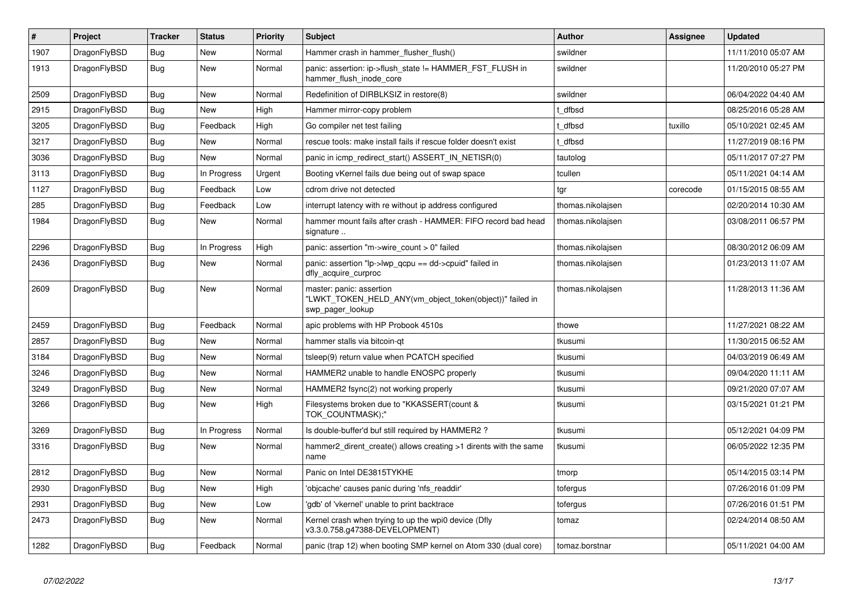| $\vert$ # | Project      | <b>Tracker</b> | <b>Status</b> | <b>Priority</b> | <b>Subject</b>                                                                                           | <b>Author</b>     | Assignee | <b>Updated</b>      |
|-----------|--------------|----------------|---------------|-----------------|----------------------------------------------------------------------------------------------------------|-------------------|----------|---------------------|
| 1907      | DragonFlyBSD | Bug            | New           | Normal          | Hammer crash in hammer flusher flush()                                                                   | swildner          |          | 11/11/2010 05:07 AM |
| 1913      | DragonFlyBSD | <b>Bug</b>     | <b>New</b>    | Normal          | panic: assertion: ip->flush_state != HAMMER_FST_FLUSH in<br>hammer flush inode core                      | swildner          |          | 11/20/2010 05:27 PM |
| 2509      | DragonFlyBSD | <b>Bug</b>     | <b>New</b>    | Normal          | Redefinition of DIRBLKSIZ in restore(8)                                                                  | swildner          |          | 06/04/2022 04:40 AM |
| 2915      | DragonFlyBSD | Bug            | <b>New</b>    | High            | Hammer mirror-copy problem                                                                               | t dfbsd           |          | 08/25/2016 05:28 AM |
| 3205      | DragonFlyBSD | Bug            | Feedback      | High            | Go compiler net test failing                                                                             | t dfbsd           | tuxillo  | 05/10/2021 02:45 AM |
| 3217      | DragonFlyBSD | <b>Bug</b>     | <b>New</b>    | Normal          | rescue tools: make install fails if rescue folder doesn't exist                                          | t_dfbsd           |          | 11/27/2019 08:16 PM |
| 3036      | DragonFlyBSD | Bug            | New           | Normal          | panic in icmp redirect start() ASSERT IN NETISR(0)                                                       | tautolog          |          | 05/11/2017 07:27 PM |
| 3113      | DragonFlyBSD | Bug            | In Progress   | Urgent          | Booting vKernel fails due being out of swap space                                                        | tcullen           |          | 05/11/2021 04:14 AM |
| 1127      | DragonFlyBSD | <b>Bug</b>     | Feedback      | Low             | cdrom drive not detected                                                                                 | tgr               | corecode | 01/15/2015 08:55 AM |
| 285       | DragonFlyBSD | Bug            | Feedback      | Low             | interrupt latency with re without ip address configured                                                  | thomas.nikolaisen |          | 02/20/2014 10:30 AM |
| 1984      | DragonFlyBSD | Bug            | <b>New</b>    | Normal          | hammer mount fails after crash - HAMMER: FIFO record bad head<br>signature                               | thomas.nikolajsen |          | 03/08/2011 06:57 PM |
| 2296      | DragonFlyBSD | Bug            | In Progress   | High            | panic: assertion "m->wire count > $0$ " failed                                                           | thomas.nikolajsen |          | 08/30/2012 06:09 AM |
| 2436      | DragonFlyBSD | Bug            | New           | Normal          | panic: assertion "lp->lwp_qcpu == dd->cpuid" failed in<br>dfly_acquire_curproc                           | thomas.nikolajsen |          | 01/23/2013 11:07 AM |
| 2609      | DragonFlyBSD | Bug            | <b>New</b>    | Normal          | master: panic: assertion<br>"LWKT_TOKEN_HELD_ANY(vm_object_token(object))" failed in<br>swp_pager_lookup | thomas.nikolajsen |          | 11/28/2013 11:36 AM |
| 2459      | DragonFlyBSD | Bug            | Feedback      | Normal          | apic problems with HP Probook 4510s                                                                      | thowe             |          | 11/27/2021 08:22 AM |
| 2857      | DragonFlyBSD | <b>Bug</b>     | <b>New</b>    | Normal          | hammer stalls via bitcoin-qt                                                                             | tkusumi           |          | 11/30/2015 06:52 AM |
| 3184      | DragonFlyBSD | <b>Bug</b>     | <b>New</b>    | Normal          | tsleep(9) return value when PCATCH specified                                                             | tkusumi           |          | 04/03/2019 06:49 AM |
| 3246      | DragonFlyBSD | Bug            | <b>New</b>    | Normal          | HAMMER2 unable to handle ENOSPC properly                                                                 | tkusumi           |          | 09/04/2020 11:11 AM |
| 3249      | DragonFlyBSD | <b>Bug</b>     | New           | Normal          | HAMMER2 fsync(2) not working properly                                                                    | tkusumi           |          | 09/21/2020 07:07 AM |
| 3266      | DragonFlyBSD | Bug            | <b>New</b>    | High            | Filesystems broken due to "KKASSERT(count &<br>TOK_COUNTMASK);"                                          | tkusumi           |          | 03/15/2021 01:21 PM |
| 3269      | DragonFlyBSD | <b>Bug</b>     | In Progress   | Normal          | Is double-buffer'd buf still required by HAMMER2?                                                        | tkusumi           |          | 05/12/2021 04:09 PM |
| 3316      | DragonFlyBSD | <b>Bug</b>     | <b>New</b>    | Normal          | hammer2_dirent_create() allows creating >1 dirents with the same<br>name                                 | tkusumi           |          | 06/05/2022 12:35 PM |
| 2812      | DragonFlyBSD | <b>Bug</b>     | New           | Normal          | Panic on Intel DE3815TYKHE                                                                               | tmorp             |          | 05/14/2015 03:14 PM |
| 2930      | DragonFlyBSD | Bug            | New           | High            | 'objcache' causes panic during 'nfs readdir'                                                             | tofergus          |          | 07/26/2016 01:09 PM |
| 2931      | DragonFlyBSD | Bug            | New           | Low             | 'gdb' of 'vkernel' unable to print backtrace                                                             | tofergus          |          | 07/26/2016 01:51 PM |
| 2473      | DragonFlyBSD | <b>Bug</b>     | <b>New</b>    | Normal          | Kernel crash when trying to up the wpi0 device (Dfly<br>v3.3.0.758.g47388-DEVELOPMENT)                   | tomaz             |          | 02/24/2014 08:50 AM |
| 1282      | DragonFlyBSD | Bug            | Feedback      | Normal          | panic (trap 12) when booting SMP kernel on Atom 330 (dual core)                                          | tomaz.borstnar    |          | 05/11/2021 04:00 AM |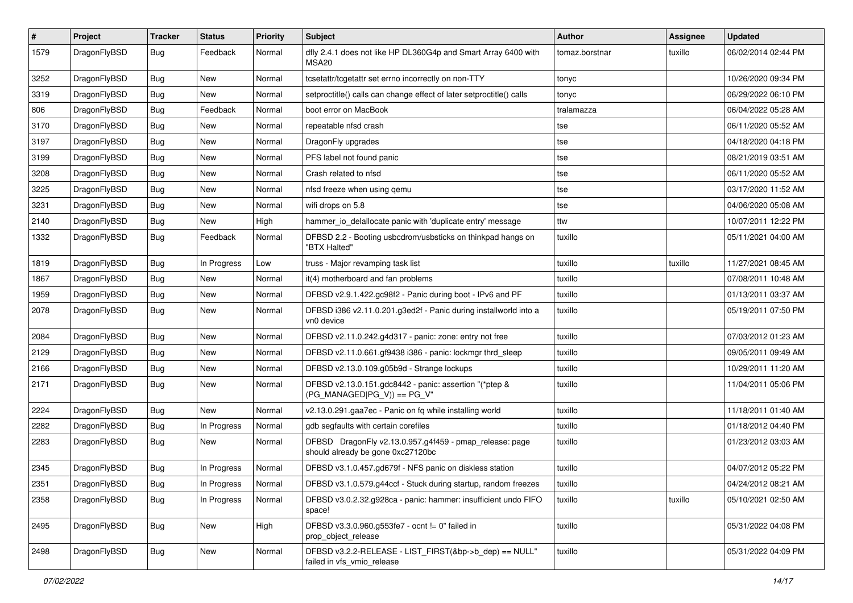| $\sharp$ | Project      | <b>Tracker</b> | <b>Status</b> | <b>Priority</b> | Subject                                                                                      | Author         | Assignee | <b>Updated</b>      |
|----------|--------------|----------------|---------------|-----------------|----------------------------------------------------------------------------------------------|----------------|----------|---------------------|
| 1579     | DragonFlyBSD | Bug            | Feedback      | Normal          | dfly 2.4.1 does not like HP DL360G4p and Smart Array 6400 with<br>MSA20                      | tomaz.borstnar | tuxillo  | 06/02/2014 02:44 PM |
| 3252     | DragonFlyBSD | Bug            | <b>New</b>    | Normal          | tcsetattr/tcgetattr set errno incorrectly on non-TTY                                         | tonyc          |          | 10/26/2020 09:34 PM |
| 3319     | DragonFlyBSD | Bug            | New           | Normal          | setproctitle() calls can change effect of later setproctitle() calls                         | tonyc          |          | 06/29/2022 06:10 PM |
| 806      | DragonFlyBSD | <b>Bug</b>     | Feedback      | Normal          | boot error on MacBook                                                                        | tralamazza     |          | 06/04/2022 05:28 AM |
| 3170     | DragonFlyBSD | <b>Bug</b>     | New           | Normal          | repeatable nfsd crash                                                                        | tse            |          | 06/11/2020 05:52 AM |
| 3197     | DragonFlyBSD | <b>Bug</b>     | <b>New</b>    | Normal          | DragonFly upgrades                                                                           | tse            |          | 04/18/2020 04:18 PM |
| 3199     | DragonFlyBSD | <b>Bug</b>     | <b>New</b>    | Normal          | PFS label not found panic                                                                    | tse            |          | 08/21/2019 03:51 AM |
| 3208     | DragonFlyBSD | <b>Bug</b>     | New           | Normal          | Crash related to nfsd                                                                        | tse            |          | 06/11/2020 05:52 AM |
| 3225     | DragonFlyBSD | Bug            | <b>New</b>    | Normal          | nfsd freeze when using qemu                                                                  | tse            |          | 03/17/2020 11:52 AM |
| 3231     | DragonFlyBSD | <b>Bug</b>     | New           | Normal          | wifi drops on 5.8                                                                            | tse            |          | 04/06/2020 05:08 AM |
| 2140     | DragonFlyBSD | <b>Bug</b>     | New           | High            | hammer_io_delallocate panic with 'duplicate entry' message                                   | ttw            |          | 10/07/2011 12:22 PM |
| 1332     | DragonFlyBSD | <b>Bug</b>     | Feedback      | Normal          | DFBSD 2.2 - Booting usbcdrom/usbsticks on thinkpad hangs on<br>"BTX Halted"                  | tuxillo        |          | 05/11/2021 04:00 AM |
| 1819     | DragonFlyBSD | Bug            | In Progress   | Low             | truss - Major revamping task list                                                            | tuxillo        | tuxillo  | 11/27/2021 08:45 AM |
| 1867     | DragonFlyBSD | Bug            | New           | Normal          | it(4) motherboard and fan problems                                                           | tuxillo        |          | 07/08/2011 10:48 AM |
| 1959     | DragonFlyBSD | <b>Bug</b>     | New           | Normal          | DFBSD v2.9.1.422.gc98f2 - Panic during boot - IPv6 and PF                                    | tuxillo        |          | 01/13/2011 03:37 AM |
| 2078     | DragonFlyBSD | Bug            | <b>New</b>    | Normal          | DFBSD i386 v2.11.0.201.g3ed2f - Panic during installworld into a<br>vn0 device               | tuxillo        |          | 05/19/2011 07:50 PM |
| 2084     | DragonFlyBSD | Bug            | New           | Normal          | DFBSD v2.11.0.242.g4d317 - panic: zone: entry not free                                       | tuxillo        |          | 07/03/2012 01:23 AM |
| 2129     | DragonFlyBSD | <b>Bug</b>     | <b>New</b>    | Normal          | DFBSD v2.11.0.661.gf9438 i386 - panic: lockmgr thrd_sleep                                    | tuxillo        |          | 09/05/2011 09:49 AM |
| 2166     | DragonFlyBSD | <b>Bug</b>     | <b>New</b>    | Normal          | DFBSD v2.13.0.109.g05b9d - Strange lockups                                                   | tuxillo        |          | 10/29/2011 11:20 AM |
| 2171     | DragonFlyBSD | <b>Bug</b>     | New           | Normal          | DFBSD v2.13.0.151.gdc8442 - panic: assertion "(*ptep &<br>$(PG_MANAGED PG_V)$ == PG_V"       | tuxillo        |          | 11/04/2011 05:06 PM |
| 2224     | DragonFlyBSD | Bug            | <b>New</b>    | Normal          | v2.13.0.291.gaa7ec - Panic on fq while installing world                                      | tuxillo        |          | 11/18/2011 01:40 AM |
| 2282     | DragonFlyBSD | Bug            | In Progress   | Normal          | gdb segfaults with certain corefiles                                                         | tuxillo        |          | 01/18/2012 04:40 PM |
| 2283     | DragonFlyBSD | <b>Bug</b>     | New           | Normal          | DFBSD DragonFly v2.13.0.957.g4f459 - pmap_release: page<br>should already be gone 0xc27120bc | tuxillo        |          | 01/23/2012 03:03 AM |
| 2345     | DragonFlyBSD | Bug            | In Progress   | Normal          | DFBSD v3.1.0.457.gd679f - NFS panic on diskless station                                      | tuxillo        |          | 04/07/2012 05:22 PM |
| 2351     | DragonFlyBSD | <b>Bug</b>     | In Progress   | Normal          | DFBSD v3.1.0.579.g44ccf - Stuck during startup, random freezes                               | tuxillo        |          | 04/24/2012 08:21 AM |
| 2358     | DragonFlyBSD | Bug            | In Progress   | Normal          | DFBSD v3.0.2.32.g928ca - panic: hammer: insufficient undo FIFO<br>space!                     | tuxillo        | tuxillo  | 05/10/2021 02:50 AM |
| 2495     | DragonFlyBSD | <b>Bug</b>     | New           | High            | DFBSD v3.3.0.960.g553fe7 - ocnt != 0" failed in<br>prop object release                       | tuxillo        |          | 05/31/2022 04:08 PM |
| 2498     | DragonFlyBSD | <b>Bug</b>     | New           | Normal          | DFBSD v3.2.2-RELEASE - LIST_FIRST(&bp->b_dep) == NULL"<br>failed in vfs_vmio_release         | tuxillo        |          | 05/31/2022 04:09 PM |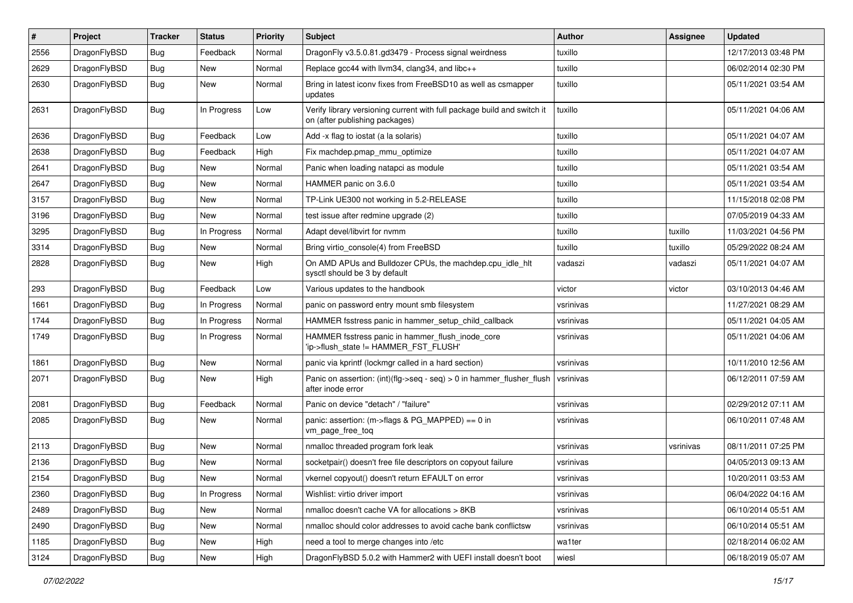| $\pmb{\#}$ | Project      | <b>Tracker</b> | <b>Status</b> | <b>Priority</b> | Subject                                                                                                   | <b>Author</b> | Assignee  | <b>Updated</b>      |
|------------|--------------|----------------|---------------|-----------------|-----------------------------------------------------------------------------------------------------------|---------------|-----------|---------------------|
| 2556       | DragonFlyBSD | Bug            | Feedback      | Normal          | DragonFly v3.5.0.81.gd3479 - Process signal weirdness                                                     | tuxillo       |           | 12/17/2013 03:48 PM |
| 2629       | DragonFlyBSD | Bug            | <b>New</b>    | Normal          | Replace gcc44 with llvm34, clang34, and libc++                                                            | tuxillo       |           | 06/02/2014 02:30 PM |
| 2630       | DragonFlyBSD | Bug            | New           | Normal          | Bring in latest iconv fixes from FreeBSD10 as well as csmapper<br>updates                                 | tuxillo       |           | 05/11/2021 03:54 AM |
| 2631       | DragonFlyBSD | Bug            | In Progress   | Low             | Verify library versioning current with full package build and switch it<br>on (after publishing packages) | tuxillo       |           | 05/11/2021 04:06 AM |
| 2636       | DragonFlyBSD | Bug            | Feedback      | Low             | Add -x flag to iostat (a la solaris)                                                                      | tuxillo       |           | 05/11/2021 04:07 AM |
| 2638       | DragonFlyBSD | Bug            | Feedback      | High            | Fix machdep.pmap mmu optimize                                                                             | tuxillo       |           | 05/11/2021 04:07 AM |
| 2641       | DragonFlyBSD | Bug            | <b>New</b>    | Normal          | Panic when loading natapci as module                                                                      | tuxillo       |           | 05/11/2021 03:54 AM |
| 2647       | DragonFlyBSD | Bug            | <b>New</b>    | Normal          | HAMMER panic on 3.6.0                                                                                     | tuxillo       |           | 05/11/2021 03:54 AM |
| 3157       | DragonFlyBSD | Bug            | <b>New</b>    | Normal          | TP-Link UE300 not working in 5.2-RELEASE                                                                  | tuxillo       |           | 11/15/2018 02:08 PM |
| 3196       | DragonFlyBSD | Bug            | <b>New</b>    | Normal          | test issue after redmine upgrade (2)                                                                      | tuxillo       |           | 07/05/2019 04:33 AM |
| 3295       | DragonFlyBSD | Bug            | In Progress   | Normal          | Adapt devel/libvirt for nvmm                                                                              | tuxillo       | tuxillo   | 11/03/2021 04:56 PM |
| 3314       | DragonFlyBSD | Bug            | New           | Normal          | Bring virtio console(4) from FreeBSD                                                                      | tuxillo       | tuxillo   | 05/29/2022 08:24 AM |
| 2828       | DragonFlyBSD | Bug            | New           | High            | On AMD APUs and Bulldozer CPUs, the machdep.cpu_idle_hlt<br>sysctl should be 3 by default                 | vadaszi       | vadaszi   | 05/11/2021 04:07 AM |
| 293        | DragonFlyBSD | Bug            | Feedback      | Low             | Various updates to the handbook                                                                           | victor        | victor    | 03/10/2013 04:46 AM |
| 1661       | DragonFlyBSD | Bug            | In Progress   | Normal          | panic on password entry mount smb filesystem                                                              | vsrinivas     |           | 11/27/2021 08:29 AM |
| 1744       | DragonFlyBSD | Bug            | In Progress   | Normal          | HAMMER fsstress panic in hammer setup child callback                                                      | vsrinivas     |           | 05/11/2021 04:05 AM |
| 1749       | DragonFlyBSD | Bug            | In Progress   | Normal          | HAMMER fsstress panic in hammer_flush_inode_core<br>'ip->flush_state != HAMMER_FST_FLUSH'                 | vsrinivas     |           | 05/11/2021 04:06 AM |
| 1861       | DragonFlyBSD | Bug            | <b>New</b>    | Normal          | panic via kprintf (lockmgr called in a hard section)                                                      | vsrinivas     |           | 10/11/2010 12:56 AM |
| 2071       | DragonFlyBSD | Bug            | New           | High            | Panic on assertion: (int)(flg->seq - seq) > 0 in hammer_flusher_flush<br>after inode error                | vsrinivas     |           | 06/12/2011 07:59 AM |
| 2081       | DragonFlyBSD | Bug            | Feedback      | Normal          | Panic on device "detach" / "failure"                                                                      | vsrinivas     |           | 02/29/2012 07:11 AM |
| 2085       | DragonFlyBSD | Bug            | <b>New</b>    | Normal          | panic: assertion: (m->flags & PG_MAPPED) == 0 in<br>vm_page_free_toq                                      | vsrinivas     |           | 06/10/2011 07:48 AM |
| 2113       | DragonFlyBSD | Bug            | <b>New</b>    | Normal          | nmalloc threaded program fork leak                                                                        | vsrinivas     | vsrinivas | 08/11/2011 07:25 PM |
| 2136       | DragonFlyBSD | <b>Bug</b>     | <b>New</b>    | Normal          | socketpair() doesn't free file descriptors on copyout failure                                             | vsrinivas     |           | 04/05/2013 09:13 AM |
| 2154       | DragonFlyBSD | Bug            | New           | Normal          | vkernel copyout() doesn't return EFAULT on error                                                          | vsrinivas     |           | 10/20/2011 03:53 AM |
| 2360       | DragonFlyBSD | Bug            | In Progress   | Normal          | Wishlist: virtio driver import                                                                            | vsrinivas     |           | 06/04/2022 04:16 AM |
| 2489       | DragonFlyBSD | <b>Bug</b>     | New           | Normal          | nmalloc doesn't cache VA for allocations > 8KB                                                            | vsrinivas     |           | 06/10/2014 05:51 AM |
| 2490       | DragonFlyBSD | <b>Bug</b>     | New           | Normal          | nmalloc should color addresses to avoid cache bank conflictsw                                             | vsrinivas     |           | 06/10/2014 05:51 AM |
| 1185       | DragonFlyBSD | Bug            | New           | High            | need a tool to merge changes into /etc                                                                    | wa1ter        |           | 02/18/2014 06:02 AM |
| 3124       | DragonFlyBSD | Bug            | New           | High            | DragonFlyBSD 5.0.2 with Hammer2 with UEFI install doesn't boot                                            | wiesl         |           | 06/18/2019 05:07 AM |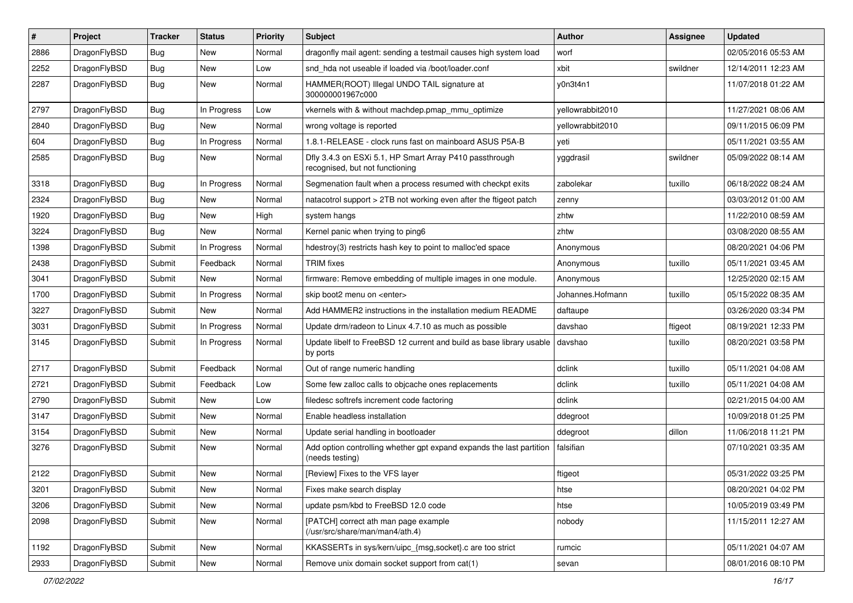| $\sharp$ | Project      | <b>Tracker</b> | <b>Status</b> | <b>Priority</b> | Subject                                                                                    | <b>Author</b>    | Assignee | <b>Updated</b>      |
|----------|--------------|----------------|---------------|-----------------|--------------------------------------------------------------------------------------------|------------------|----------|---------------------|
| 2886     | DragonFlyBSD | Bug            | New           | Normal          | dragonfly mail agent: sending a testmail causes high system load                           | worf             |          | 02/05/2016 05:53 AM |
| 2252     | DragonFlyBSD | Bug            | <b>New</b>    | Low             | snd_hda not useable if loaded via /boot/loader.conf                                        | xbit             | swildner | 12/14/2011 12:23 AM |
| 2287     | DragonFlyBSD | Bug            | New           | Normal          | HAMMER(ROOT) Illegal UNDO TAIL signature at<br>300000001967c000                            | y0n3t4n1         |          | 11/07/2018 01:22 AM |
| 2797     | DragonFlyBSD | Bug            | In Progress   | Low             | vkernels with & without machdep.pmap_mmu_optimize                                          | yellowrabbit2010 |          | 11/27/2021 08:06 AM |
| 2840     | DragonFlyBSD | Bug            | New           | Normal          | wrong voltage is reported                                                                  | yellowrabbit2010 |          | 09/11/2015 06:09 PM |
| 604      | DragonFlyBSD | Bug            | In Progress   | Normal          | 1.8.1-RELEASE - clock runs fast on mainboard ASUS P5A-B                                    | yeti             |          | 05/11/2021 03:55 AM |
| 2585     | DragonFlyBSD | Bug            | New           | Normal          | Dfly 3.4.3 on ESXi 5.1, HP Smart Array P410 passthrough<br>recognised, but not functioning | yggdrasil        | swildner | 05/09/2022 08:14 AM |
| 3318     | DragonFlyBSD | Bug            | In Progress   | Normal          | Segmenation fault when a process resumed with checkpt exits                                | zabolekar        | tuxillo  | 06/18/2022 08:24 AM |
| 2324     | DragonFlyBSD | Bug            | New           | Normal          | natacotrol support > 2TB not working even after the ftigeot patch                          | zenny            |          | 03/03/2012 01:00 AM |
| 1920     | DragonFlyBSD | Bug            | <b>New</b>    | High            | system hangs                                                                               | zhtw             |          | 11/22/2010 08:59 AM |
| 3224     | DragonFlyBSD | <b>Bug</b>     | New           | Normal          | Kernel panic when trying to ping6                                                          | zhtw             |          | 03/08/2020 08:55 AM |
| 1398     | DragonFlyBSD | Submit         | In Progress   | Normal          | hdestroy(3) restricts hash key to point to malloc'ed space                                 | Anonymous        |          | 08/20/2021 04:06 PM |
| 2438     | DragonFlyBSD | Submit         | Feedback      | Normal          | <b>TRIM</b> fixes                                                                          | Anonymous        | tuxillo  | 05/11/2021 03:45 AM |
| 3041     | DragonFlyBSD | Submit         | New           | Normal          | firmware: Remove embedding of multiple images in one module.                               | Anonymous        |          | 12/25/2020 02:15 AM |
| 1700     | DragonFlyBSD | Submit         | In Progress   | Normal          | skip boot2 menu on <enter></enter>                                                         | Johannes.Hofmann | tuxillo  | 05/15/2022 08:35 AM |
| 3227     | DragonFlyBSD | Submit         | <b>New</b>    | Normal          | Add HAMMER2 instructions in the installation medium README                                 | daftaupe         |          | 03/26/2020 03:34 PM |
| 3031     | DragonFlyBSD | Submit         | In Progress   | Normal          | Update drm/radeon to Linux 4.7.10 as much as possible                                      | davshao          | ftigeot  | 08/19/2021 12:33 PM |
| 3145     | DragonFlyBSD | Submit         | In Progress   | Normal          | Update libelf to FreeBSD 12 current and build as base library usable<br>by ports           | davshao          | tuxillo  | 08/20/2021 03:58 PM |
| 2717     | DragonFlyBSD | Submit         | Feedback      | Normal          | Out of range numeric handling                                                              | dclink           | tuxillo  | 05/11/2021 04:08 AM |
| 2721     | DragonFlyBSD | Submit         | Feedback      | Low             | Some few zalloc calls to objcache ones replacements                                        | dclink           | tuxillo  | 05/11/2021 04:08 AM |
| 2790     | DragonFlyBSD | Submit         | New           | Low             | filedesc softrefs increment code factoring                                                 | dclink           |          | 02/21/2015 04:00 AM |
| 3147     | DragonFlyBSD | Submit         | New           | Normal          | Enable headless installation                                                               | ddegroot         |          | 10/09/2018 01:25 PM |
| 3154     | DragonFlyBSD | Submit         | <b>New</b>    | Normal          | Update serial handling in bootloader                                                       | ddegroot         | dillon   | 11/06/2018 11:21 PM |
| 3276     | DragonFlyBSD | Submit         | New           | Normal          | Add option controlling whether gpt expand expands the last partition<br>(needs testing)    | falsifian        |          | 07/10/2021 03:35 AM |
| 2122     | DragonFlyBSD | Submit         | New           | Normal          | [Review] Fixes to the VFS layer                                                            | ftigeot          |          | 05/31/2022 03:25 PM |
| 3201     | DragonFlyBSD | Submit         | New           | Normal          | Fixes make search display                                                                  | htse             |          | 08/20/2021 04:02 PM |
| 3206     | DragonFlyBSD | Submit         | New           | Normal          | update psm/kbd to FreeBSD 12.0 code                                                        | htse             |          | 10/05/2019 03:49 PM |
| 2098     | DragonFlyBSD | Submit         | New           | Normal          | [PATCH] correct ath man page example<br>(/usr/src/share/man/man4/ath.4)                    | nobody           |          | 11/15/2011 12:27 AM |
| 1192     | DragonFlyBSD | Submit         | New           | Normal          | KKASSERTs in sys/kern/uipc_{msg,socket}.c are too strict                                   | rumcic           |          | 05/11/2021 04:07 AM |
| 2933     | DragonFlyBSD | Submit         | New           | Normal          | Remove unix domain socket support from cat(1)                                              | sevan            |          | 08/01/2016 08:10 PM |